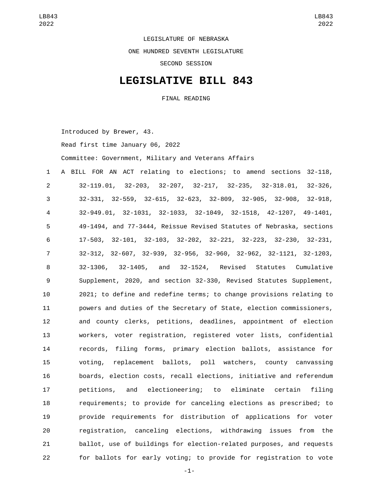LEGISLATURE OF NEBRASKA ONE HUNDRED SEVENTH LEGISLATURE SECOND SESSION

## **LEGISLATIVE BILL 843**

FINAL READING

Introduced by Brewer, 43.

Read first time January 06, 2022

Committee: Government, Military and Veterans Affairs

 A BILL FOR AN ACT relating to elections; to amend sections 32-118, 32-119.01, 32-203, 32-207, 32-217, 32-235, 32-318.01, 32-326, 32-331, 32-559, 32-615, 32-623, 32-809, 32-905, 32-908, 32-918, 32-949.01, 32-1031, 32-1033, 32-1049, 32-1518, 42-1207, 49-1401, 49-1494, and 77-3444, Reissue Revised Statutes of Nebraska, sections 17-503, 32-101, 32-103, 32-202, 32-221, 32-223, 32-230, 32-231, 32-312, 32-607, 32-939, 32-956, 32-960, 32-962, 32-1121, 32-1203, 32-1306, 32-1405, and 32-1524, Revised Statutes Cumulative Supplement, 2020, and section 32-330, Revised Statutes Supplement, 2021; to define and redefine terms; to change provisions relating to powers and duties of the Secretary of State, election commissioners, and county clerks, petitions, deadlines, appointment of election workers, voter registration, registered voter lists, confidential records, filing forms, primary election ballots, assistance for voting, replacement ballots, poll watchers, county canvassing boards, election costs, recall elections, initiative and referendum petitions, and electioneering; to eliminate certain filing requirements; to provide for canceling elections as prescribed; to provide requirements for distribution of applications for voter registration, canceling elections, withdrawing issues from the ballot, use of buildings for election-related purposes, and requests for ballots for early voting; to provide for registration to vote

-1-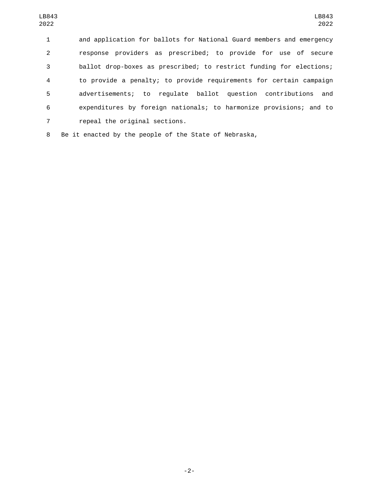and application for ballots for National Guard members and emergency response providers as prescribed; to provide for use of secure ballot drop-boxes as prescribed; to restrict funding for elections; to provide a penalty; to provide requirements for certain campaign advertisements; to regulate ballot question contributions and expenditures by foreign nationals; to harmonize provisions; and to 7 repeal the original sections.

Be it enacted by the people of the State of Nebraska,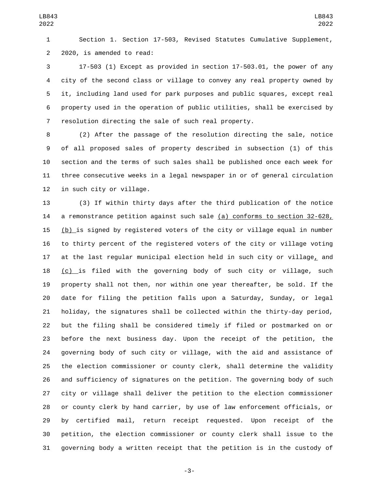Section 1. Section 17-503, Revised Statutes Cumulative Supplement, 2 2020, is amended to read:

 17-503 (1) Except as provided in section 17-503.01, the power of any city of the second class or village to convey any real property owned by it, including land used for park purposes and public squares, except real property used in the operation of public utilities, shall be exercised by resolution directing the sale of such real property.

 (2) After the passage of the resolution directing the sale, notice of all proposed sales of property described in subsection (1) of this section and the terms of such sales shall be published once each week for three consecutive weeks in a legal newspaper in or of general circulation 12 in such city or village.

 (3) If within thirty days after the third publication of the notice 14 a remonstrance petition against such sale (a) conforms to section 32-628,  $(b)$  is signed by registered voters of the city or village equal in number to thirty percent of the registered voters of the city or village voting at the last regular municipal election held in such city or village, and (c) is filed with the governing body of such city or village, such property shall not then, nor within one year thereafter, be sold. If the date for filing the petition falls upon a Saturday, Sunday, or legal holiday, the signatures shall be collected within the thirty-day period, but the filing shall be considered timely if filed or postmarked on or before the next business day. Upon the receipt of the petition, the governing body of such city or village, with the aid and assistance of the election commissioner or county clerk, shall determine the validity and sufficiency of signatures on the petition. The governing body of such city or village shall deliver the petition to the election commissioner or county clerk by hand carrier, by use of law enforcement officials, or by certified mail, return receipt requested. Upon receipt of the petition, the election commissioner or county clerk shall issue to the governing body a written receipt that the petition is in the custody of

-3-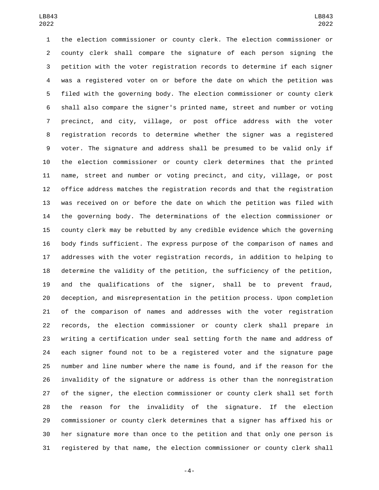the election commissioner or county clerk. The election commissioner or county clerk shall compare the signature of each person signing the petition with the voter registration records to determine if each signer was a registered voter on or before the date on which the petition was filed with the governing body. The election commissioner or county clerk shall also compare the signer's printed name, street and number or voting precinct, and city, village, or post office address with the voter registration records to determine whether the signer was a registered voter. The signature and address shall be presumed to be valid only if the election commissioner or county clerk determines that the printed name, street and number or voting precinct, and city, village, or post office address matches the registration records and that the registration was received on or before the date on which the petition was filed with the governing body. The determinations of the election commissioner or county clerk may be rebutted by any credible evidence which the governing body finds sufficient. The express purpose of the comparison of names and addresses with the voter registration records, in addition to helping to determine the validity of the petition, the sufficiency of the petition, and the qualifications of the signer, shall be to prevent fraud, deception, and misrepresentation in the petition process. Upon completion of the comparison of names and addresses with the voter registration records, the election commissioner or county clerk shall prepare in writing a certification under seal setting forth the name and address of each signer found not to be a registered voter and the signature page number and line number where the name is found, and if the reason for the invalidity of the signature or address is other than the nonregistration of the signer, the election commissioner or county clerk shall set forth the reason for the invalidity of the signature. If the election commissioner or county clerk determines that a signer has affixed his or her signature more than once to the petition and that only one person is registered by that name, the election commissioner or county clerk shall

-4-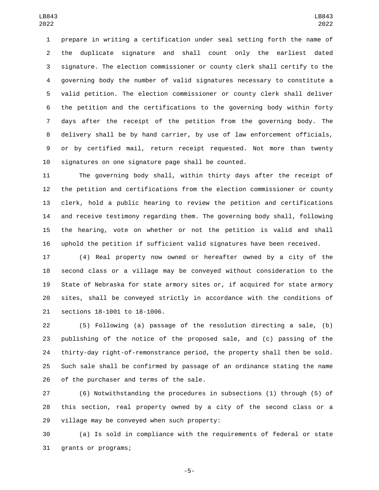prepare in writing a certification under seal setting forth the name of the duplicate signature and shall count only the earliest dated signature. The election commissioner or county clerk shall certify to the governing body the number of valid signatures necessary to constitute a valid petition. The election commissioner or county clerk shall deliver the petition and the certifications to the governing body within forty days after the receipt of the petition from the governing body. The delivery shall be by hand carrier, by use of law enforcement officials, or by certified mail, return receipt requested. Not more than twenty signatures on one signature page shall be counted.

 The governing body shall, within thirty days after the receipt of the petition and certifications from the election commissioner or county clerk, hold a public hearing to review the petition and certifications and receive testimony regarding them. The governing body shall, following the hearing, vote on whether or not the petition is valid and shall uphold the petition if sufficient valid signatures have been received.

 (4) Real property now owned or hereafter owned by a city of the second class or a village may be conveyed without consideration to the State of Nebraska for state armory sites or, if acquired for state armory sites, shall be conveyed strictly in accordance with the conditions of 21 sections 18-1001 to 18-1006.

 (5) Following (a) passage of the resolution directing a sale, (b) publishing of the notice of the proposed sale, and (c) passing of the thirty-day right-of-remonstrance period, the property shall then be sold. Such sale shall be confirmed by passage of an ordinance stating the name 26 of the purchaser and terms of the sale.

 (6) Notwithstanding the procedures in subsections (1) through (5) of this section, real property owned by a city of the second class or a village may be conveyed when such property:

 (a) Is sold in compliance with the requirements of federal or state 31 grants or programs;

-5-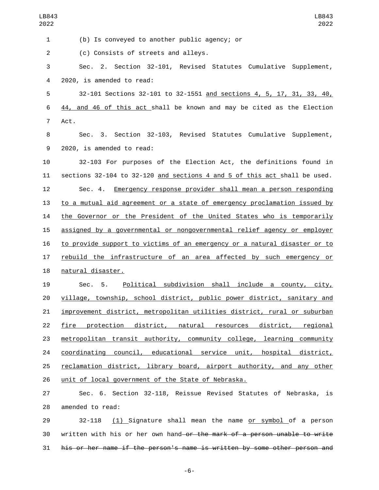| LB843<br>2022  | LB843<br>2022                                                             |
|----------------|---------------------------------------------------------------------------|
| 1              | (b) Is conveyed to another public agency; or                              |
| $\overline{c}$ | (c) Consists of streets and alleys.                                       |
| 3              | Sec. 2. Section 32-101, Revised Statutes Cumulative Supplement,           |
| 4              | 2020, is amended to read:                                                 |
| 5              | 32-101 Sections 32-101 to 32-1551 and sections 4, 5, 17, 31, 33, 40,      |
| 6              | 44, and 46 of this act shall be known and may be cited as the Election    |
| $\overline{7}$ | Act.                                                                      |
| 8              | Sec. 3. Section 32-103, Revised Statutes Cumulative Supplement,           |
| 9              | 2020, is amended to read:                                                 |
| 10             | 32-103 For purposes of the Election Act, the definitions found in         |
| 11             | sections 32-104 to 32-120 and sections 4 and 5 of this act shall be used. |
| 12             | Sec. 4. Emergency response provider shall mean a person responding        |
| 13             | to a mutual aid agreement or a state of emergency proclamation issued by  |
| 14             | the Governor or the President of the United States who is temporarily     |
| 15             | assigned by a governmental or nongovernmental relief agency or employer   |
| 16             | to provide support to victims of an emergency or a natural disaster or to |
| 17             | rebuild the infrastructure of an area affected by such emergency or       |
| 18             | natural disaster.                                                         |
| 19             | Political subdivision shall include a county, city,<br>Sec. 5.            |
| 20             | village, township, school district, public power district, sanitary and   |
| 21             | improvement district, metropolitan utilities district, rural or suburban  |
| 22             | fire protection district, natural resources district, regional            |
| 23             | metropolitan transit authority, community college, learning community     |
| 24             | coordinating council, educational service unit, hospital district,        |
| 25             | reclamation district, library board, airport authority, and any other     |
| 26             | unit of local government of the State of Nebraska.                        |
| 27             | Sec. 6. Section 32-118, Reissue Revised Statutes of Nebraska, is          |
| 28             | amended to read:                                                          |

29 32-118 (1) Signature shall mean the name or symbol of a person 30 written with his or her own hand or the mark of a person unable to write his or her name if the person's name is written by some other person and

-6-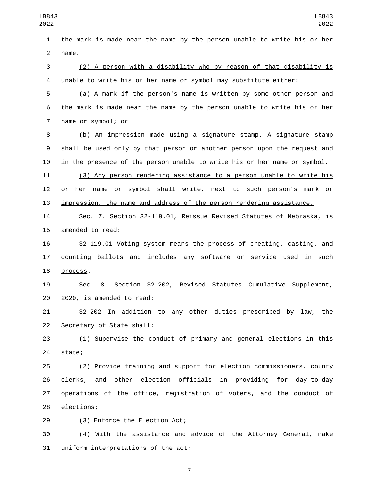the mark is made near the name by the person unable to write his or her name. (2) A person with a disability who by reason of that disability is unable to write his or her name or symbol may substitute either: (a) A mark if the person's name is written by some other person and the mark is made near the name by the person unable to write his or her 7 name or symbol; or (b) An impression made using a signature stamp. A signature stamp shall be used only by that person or another person upon the request and in the presence of the person unable to write his or her name or symbol. (3) Any person rendering assistance to a person unable to write his or her name or symbol shall write, next to such person's mark or impression, the name and address of the person rendering assistance. Sec. 7. Section 32-119.01, Reissue Revised Statutes of Nebraska, is 15 amended to read: 32-119.01 Voting system means the process of creating, casting, and 17 counting ballots and includes any software or service used in such 18 process. Sec. 8. Section 32-202, Revised Statutes Cumulative Supplement, 20 2020, is amended to read: 32-202 In addition to any other duties prescribed by law, the 22 Secretary of State shall: (1) Supervise the conduct of primary and general elections in this 24 state; (2) Provide training and support for election commissioners, county clerks, and other election officials in providing for day-to-day 27 operations of the office, registration of voters, and the conduct of 28 elections; 29 (3) Enforce the Election Act; (4) With the assistance and advice of the Attorney General, make 31 uniform interpretations of the act;

-7-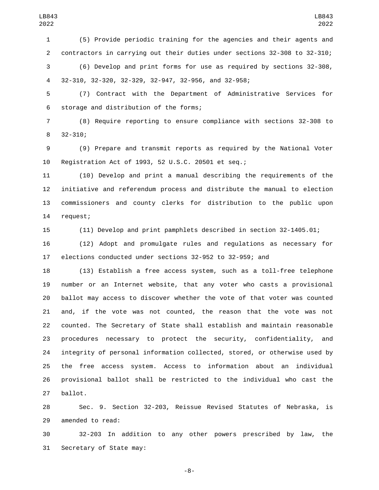(5) Provide periodic training for the agencies and their agents and contractors in carrying out their duties under sections 32-308 to 32-310; (6) Develop and print forms for use as required by sections 32-308, 32-310, 32-320, 32-329, 32-947, 32-956, and 32-958;

 (7) Contract with the Department of Administrative Services for 6 storage and distribution of the forms;

 (8) Require reporting to ensure compliance with sections 32-308 to 8 32-310;

 (9) Prepare and transmit reports as required by the National Voter Registration Act of 1993, 52 U.S.C. 20501 et seq.;

 (10) Develop and print a manual describing the requirements of the initiative and referendum process and distribute the manual to election commissioners and county clerks for distribution to the public upon 14 request;

(11) Develop and print pamphlets described in section 32-1405.01;

 (12) Adopt and promulgate rules and regulations as necessary for elections conducted under sections 32-952 to 32-959; and

 (13) Establish a free access system, such as a toll-free telephone number or an Internet website, that any voter who casts a provisional ballot may access to discover whether the vote of that voter was counted and, if the vote was not counted, the reason that the vote was not counted. The Secretary of State shall establish and maintain reasonable procedures necessary to protect the security, confidentiality, and integrity of personal information collected, stored, or otherwise used by the free access system. Access to information about an individual provisional ballot shall be restricted to the individual who cast the 27 ballot.

 Sec. 9. Section 32-203, Reissue Revised Statutes of Nebraska, is 29 amended to read:

 32-203 In addition to any other powers prescribed by law, the 31 Secretary of State may:

-8-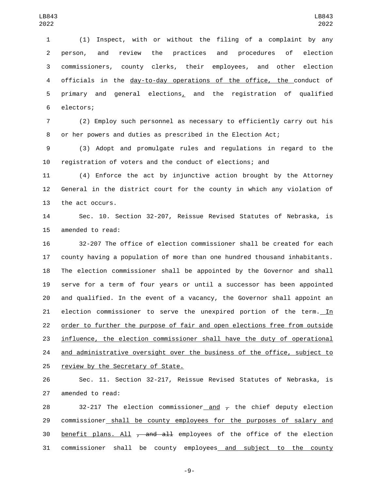(1) Inspect, with or without the filing of a complaint by any person, and review the practices and procedures of election commissioners, county clerks, their employees, and other election officials in the day-to-day operations of the office, the conduct of 5 primary and general elections, and the registration of qualified 6 electors;

 (2) Employ such personnel as necessary to efficiently carry out his or her powers and duties as prescribed in the Election Act;

 (3) Adopt and promulgate rules and regulations in regard to the registration of voters and the conduct of elections; and

 (4) Enforce the act by injunctive action brought by the Attorney General in the district court for the county in which any violation of 13 the act occurs.

 Sec. 10. Section 32-207, Reissue Revised Statutes of Nebraska, is 15 amended to read:

 32-207 The office of election commissioner shall be created for each county having a population of more than one hundred thousand inhabitants. The election commissioner shall be appointed by the Governor and shall serve for a term of four years or until a successor has been appointed and qualified. In the event of a vacancy, the Governor shall appoint an 21 election commissioner to serve the unexpired portion of the term. In order to further the purpose of fair and open elections free from outside influence, the election commissioner shall have the duty of operational 24 and administrative oversight over the business of the office, subject to 25 review by the Secretary of State.

 Sec. 11. Section 32-217, Reissue Revised Statutes of Nebraska, is 27 amended to read:

28 32-217 The election commissioner and  $\tau$  the chief deputy election 29 commissioner shall be county employees for the purposes of salary and 30 benefit plans. All  $\tau$  and all employees of the office of the election commissioner shall be county employees and subject to the county

-9-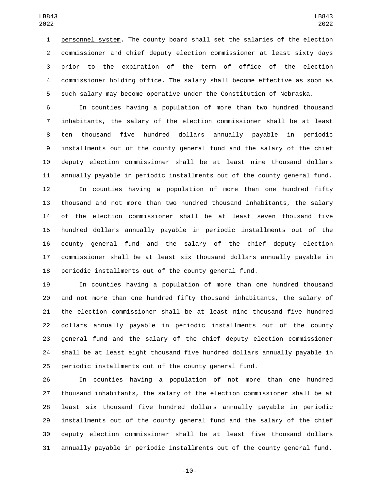personnel system. The county board shall set the salaries of the election commissioner and chief deputy election commissioner at least sixty days prior to the expiration of the term of office of the election commissioner holding office. The salary shall become effective as soon as such salary may become operative under the Constitution of Nebraska.

 In counties having a population of more than two hundred thousand inhabitants, the salary of the election commissioner shall be at least ten thousand five hundred dollars annually payable in periodic installments out of the county general fund and the salary of the chief deputy election commissioner shall be at least nine thousand dollars annually payable in periodic installments out of the county general fund.

 In counties having a population of more than one hundred fifty thousand and not more than two hundred thousand inhabitants, the salary of the election commissioner shall be at least seven thousand five hundred dollars annually payable in periodic installments out of the county general fund and the salary of the chief deputy election commissioner shall be at least six thousand dollars annually payable in periodic installments out of the county general fund.

 In counties having a population of more than one hundred thousand and not more than one hundred fifty thousand inhabitants, the salary of the election commissioner shall be at least nine thousand five hundred dollars annually payable in periodic installments out of the county general fund and the salary of the chief deputy election commissioner shall be at least eight thousand five hundred dollars annually payable in periodic installments out of the county general fund.

 In counties having a population of not more than one hundred thousand inhabitants, the salary of the election commissioner shall be at least six thousand five hundred dollars annually payable in periodic installments out of the county general fund and the salary of the chief deputy election commissioner shall be at least five thousand dollars annually payable in periodic installments out of the county general fund.

-10-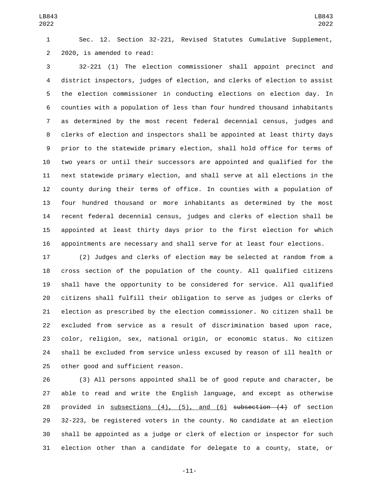Sec. 12. Section 32-221, Revised Statutes Cumulative Supplement, 2 2020, is amended to read:

 32-221 (1) The election commissioner shall appoint precinct and district inspectors, judges of election, and clerks of election to assist the election commissioner in conducting elections on election day. In counties with a population of less than four hundred thousand inhabitants as determined by the most recent federal decennial census, judges and clerks of election and inspectors shall be appointed at least thirty days prior to the statewide primary election, shall hold office for terms of two years or until their successors are appointed and qualified for the next statewide primary election, and shall serve at all elections in the county during their terms of office. In counties with a population of four hundred thousand or more inhabitants as determined by the most recent federal decennial census, judges and clerks of election shall be appointed at least thirty days prior to the first election for which appointments are necessary and shall serve for at least four elections.

 (2) Judges and clerks of election may be selected at random from a cross section of the population of the county. All qualified citizens shall have the opportunity to be considered for service. All qualified citizens shall fulfill their obligation to serve as judges or clerks of election as prescribed by the election commissioner. No citizen shall be excluded from service as a result of discrimination based upon race, color, religion, sex, national origin, or economic status. No citizen shall be excluded from service unless excused by reason of ill health or 25 other good and sufficient reason.

 (3) All persons appointed shall be of good repute and character, be able to read and write the English language, and except as otherwise 28 provided in subsections (4), (5), and (6) subsection (4) of section 32-223, be registered voters in the county. No candidate at an election shall be appointed as a judge or clerk of election or inspector for such election other than a candidate for delegate to a county, state, or

-11-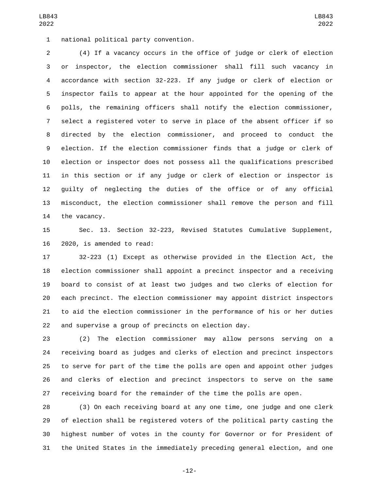1 national political party convention.

 (4) If a vacancy occurs in the office of judge or clerk of election or inspector, the election commissioner shall fill such vacancy in accordance with section 32-223. If any judge or clerk of election or inspector fails to appear at the hour appointed for the opening of the polls, the remaining officers shall notify the election commissioner, select a registered voter to serve in place of the absent officer if so directed by the election commissioner, and proceed to conduct the election. If the election commissioner finds that a judge or clerk of election or inspector does not possess all the qualifications prescribed in this section or if any judge or clerk of election or inspector is guilty of neglecting the duties of the office or of any official misconduct, the election commissioner shall remove the person and fill 14 the vacancy.

 Sec. 13. Section 32-223, Revised Statutes Cumulative Supplement, 16 2020, is amended to read:

 32-223 (1) Except as otherwise provided in the Election Act, the election commissioner shall appoint a precinct inspector and a receiving board to consist of at least two judges and two clerks of election for each precinct. The election commissioner may appoint district inspectors to aid the election commissioner in the performance of his or her duties and supervise a group of precincts on election day.

 (2) The election commissioner may allow persons serving on a receiving board as judges and clerks of election and precinct inspectors to serve for part of the time the polls are open and appoint other judges and clerks of election and precinct inspectors to serve on the same receiving board for the remainder of the time the polls are open.

 (3) On each receiving board at any one time, one judge and one clerk of election shall be registered voters of the political party casting the highest number of votes in the county for Governor or for President of the United States in the immediately preceding general election, and one

-12-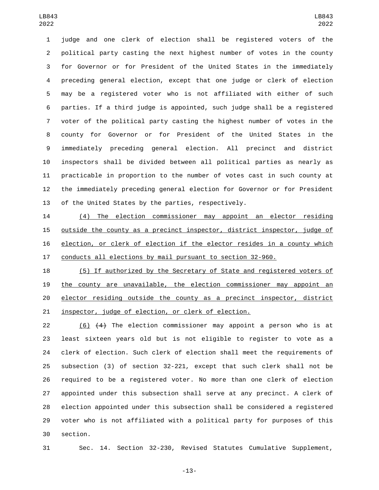judge and one clerk of election shall be registered voters of the political party casting the next highest number of votes in the county for Governor or for President of the United States in the immediately preceding general election, except that one judge or clerk of election may be a registered voter who is not affiliated with either of such parties. If a third judge is appointed, such judge shall be a registered voter of the political party casting the highest number of votes in the county for Governor or for President of the United States in the immediately preceding general election. All precinct and district inspectors shall be divided between all political parties as nearly as practicable in proportion to the number of votes cast in such county at the immediately preceding general election for Governor or for President of the United States by the parties, respectively.

 (4) The election commissioner may appoint an elector residing outside the county as a precinct inspector, district inspector, judge of election, or clerk of election if the elector resides in a county which conducts all elections by mail pursuant to section 32-960.

 (5) If authorized by the Secretary of State and registered voters of the county are unavailable, the election commissioner may appoint an elector residing outside the county as a precinct inspector, district inspector, judge of election, or clerk of election.

 (6) (4) The election commissioner may appoint a person who is at least sixteen years old but is not eligible to register to vote as a clerk of election. Such clerk of election shall meet the requirements of subsection (3) of section 32-221, except that such clerk shall not be required to be a registered voter. No more than one clerk of election appointed under this subsection shall serve at any precinct. A clerk of election appointed under this subsection shall be considered a registered voter who is not affiliated with a political party for purposes of this 30 section.

Sec. 14. Section 32-230, Revised Statutes Cumulative Supplement,

-13-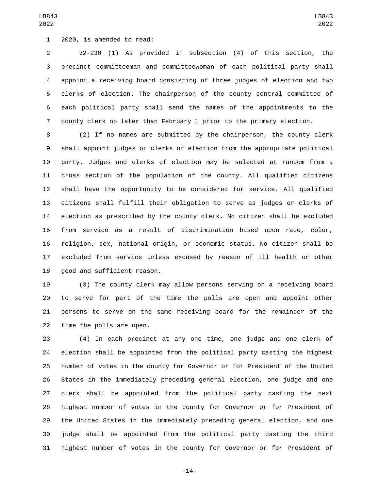1 2020, is amended to read:

 32-230 (1) As provided in subsection (4) of this section, the precinct committeeman and committeewoman of each political party shall appoint a receiving board consisting of three judges of election and two clerks of election. The chairperson of the county central committee of each political party shall send the names of the appointments to the county clerk no later than February 1 prior to the primary election.

 (2) If no names are submitted by the chairperson, the county clerk shall appoint judges or clerks of election from the appropriate political party. Judges and clerks of election may be selected at random from a cross section of the population of the county. All qualified citizens shall have the opportunity to be considered for service. All qualified citizens shall fulfill their obligation to serve as judges or clerks of election as prescribed by the county clerk. No citizen shall be excluded from service as a result of discrimination based upon race, color, religion, sex, national origin, or economic status. No citizen shall be excluded from service unless excused by reason of ill health or other 18 good and sufficient reason.

 (3) The county clerk may allow persons serving on a receiving board to serve for part of the time the polls are open and appoint other persons to serve on the same receiving board for the remainder of the 22 time the polls are open.

 (4) In each precinct at any one time, one judge and one clerk of election shall be appointed from the political party casting the highest number of votes in the county for Governor or for President of the United States in the immediately preceding general election, one judge and one clerk shall be appointed from the political party casting the next highest number of votes in the county for Governor or for President of the United States in the immediately preceding general election, and one judge shall be appointed from the political party casting the third highest number of votes in the county for Governor or for President of

LB843 

-14-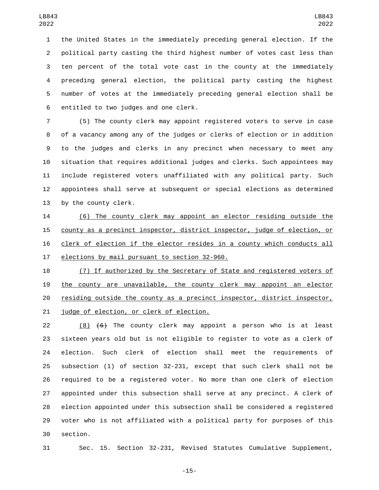the United States in the immediately preceding general election. If the political party casting the third highest number of votes cast less than ten percent of the total vote cast in the county at the immediately preceding general election, the political party casting the highest number of votes at the immediately preceding general election shall be 6 entitled to two judges and one clerk.

 (5) The county clerk may appoint registered voters to serve in case of a vacancy among any of the judges or clerks of election or in addition to the judges and clerks in any precinct when necessary to meet any situation that requires additional judges and clerks. Such appointees may include registered voters unaffiliated with any political party. Such appointees shall serve at subsequent or special elections as determined 13 by the county clerk.

 (6) The county clerk may appoint an elector residing outside the county as a precinct inspector, district inspector, judge of election, or clerk of election if the elector resides in a county which conducts all 17 elections by mail pursuant to section 32-960.

 (7) If authorized by the Secretary of State and registered voters of the county are unavailable, the county clerk may appoint an elector residing outside the county as a precinct inspector, district inspector, 21 judge of election, or clerk of election.

22 (8)  $\left( 6 \right)$  The county clerk may appoint a person who is at least sixteen years old but is not eligible to register to vote as a clerk of election. Such clerk of election shall meet the requirements of subsection (1) of section 32-231, except that such clerk shall not be required to be a registered voter. No more than one clerk of election appointed under this subsection shall serve at any precinct. A clerk of election appointed under this subsection shall be considered a registered voter who is not affiliated with a political party for purposes of this 30 section.

Sec. 15. Section 32-231, Revised Statutes Cumulative Supplement,

-15-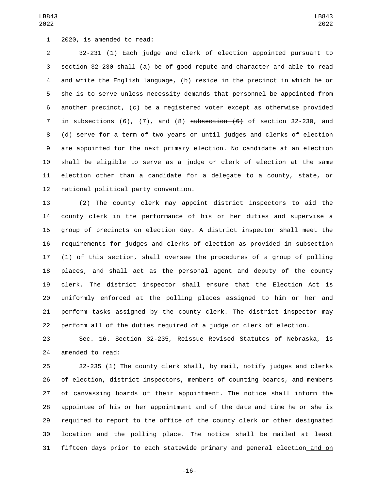1 2020, is amended to read:

 32-231 (1) Each judge and clerk of election appointed pursuant to section 32-230 shall (a) be of good repute and character and able to read and write the English language, (b) reside in the precinct in which he or she is to serve unless necessity demands that personnel be appointed from another precinct, (c) be a registered voter except as otherwise provided 7 in subsections  $(6)$ ,  $(7)$ , and  $(8)$  subsection  $(6)$  of section 32-230, and (d) serve for a term of two years or until judges and clerks of election are appointed for the next primary election. No candidate at an election shall be eligible to serve as a judge or clerk of election at the same election other than a candidate for a delegate to a county, state, or 12 national political party convention.

 (2) The county clerk may appoint district inspectors to aid the county clerk in the performance of his or her duties and supervise a group of precincts on election day. A district inspector shall meet the requirements for judges and clerks of election as provided in subsection (1) of this section, shall oversee the procedures of a group of polling places, and shall act as the personal agent and deputy of the county clerk. The district inspector shall ensure that the Election Act is uniformly enforced at the polling places assigned to him or her and perform tasks assigned by the county clerk. The district inspector may perform all of the duties required of a judge or clerk of election.

 Sec. 16. Section 32-235, Reissue Revised Statutes of Nebraska, is 24 amended to read:

 32-235 (1) The county clerk shall, by mail, notify judges and clerks of election, district inspectors, members of counting boards, and members of canvassing boards of their appointment. The notice shall inform the appointee of his or her appointment and of the date and time he or she is required to report to the office of the county clerk or other designated location and the polling place. The notice shall be mailed at least fifteen days prior to each statewide primary and general election and on

-16-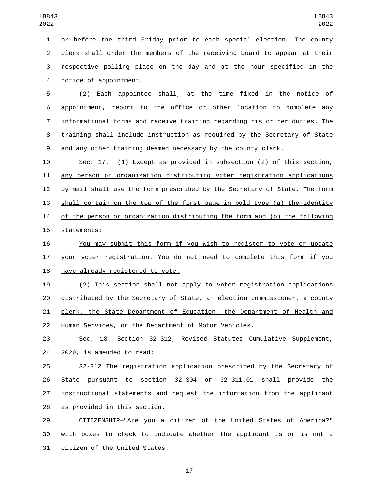or before the third Friday prior to each special election. The county clerk shall order the members of the receiving board to appear at their respective polling place on the day and at the hour specified in the 4 notice of appointment.

 (2) Each appointee shall, at the time fixed in the notice of appointment, report to the office or other location to complete any informational forms and receive training regarding his or her duties. The training shall include instruction as required by the Secretary of State and any other training deemed necessary by the county clerk.

 Sec. 17. (1) Except as provided in subsection (2) of this section, any person or organization distributing voter registration applications by mail shall use the form prescribed by the Secretary of State. The form shall contain on the top of the first page in bold type (a) the identity of the person or organization distributing the form and (b) the following 15 statements:

 You may submit this form if you wish to register to vote or update 17 your voter registration. You do not need to complete this form if you 18 have already registered to vote.

 (2) This section shall not apply to voter registration applications distributed by the Secretary of State, an election commissioner, a county clerk, the State Department of Education, the Department of Health and Human Services, or the Department of Motor Vehicles.

 Sec. 18. Section 32-312, Revised Statutes Cumulative Supplement, 24 2020, is amended to read:

 32-312 The registration application prescribed by the Secretary of State pursuant to section 32-304 or 32-311.01 shall provide the instructional statements and request the information from the applicant 28 as provided in this section.

 CITIZENSHIP—"Are you a citizen of the United States of America?" with boxes to check to indicate whether the applicant is or is not a 31 citizen of the United States.

-17-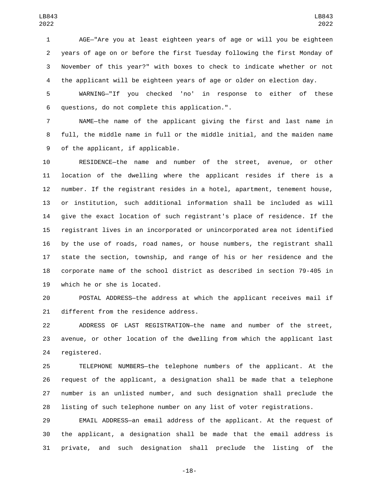AGE—"Are you at least eighteen years of age or will you be eighteen years of age on or before the first Tuesday following the first Monday of November of this year?" with boxes to check to indicate whether or not the applicant will be eighteen years of age or older on election day.

 WARNING—"If you checked 'no' in response to either of these questions, do not complete this application.".6

 NAME—the name of the applicant giving the first and last name in full, the middle name in full or the middle initial, and the maiden name 9 of the applicant, if applicable.

 RESIDENCE—the name and number of the street, avenue, or other location of the dwelling where the applicant resides if there is a number. If the registrant resides in a hotel, apartment, tenement house, or institution, such additional information shall be included as will give the exact location of such registrant's place of residence. If the registrant lives in an incorporated or unincorporated area not identified by the use of roads, road names, or house numbers, the registrant shall state the section, township, and range of his or her residence and the corporate name of the school district as described in section 79-405 in 19 which he or she is located.

 POSTAL ADDRESS—the address at which the applicant receives mail if 21 different from the residence address.

 ADDRESS OF LAST REGISTRATION—the name and number of the street, avenue, or other location of the dwelling from which the applicant last 24 registered.

 TELEPHONE NUMBERS—the telephone numbers of the applicant. At the request of the applicant, a designation shall be made that a telephone number is an unlisted number, and such designation shall preclude the listing of such telephone number on any list of voter registrations.

 EMAIL ADDRESS—an email address of the applicant. At the request of the applicant, a designation shall be made that the email address is private, and such designation shall preclude the listing of the

-18-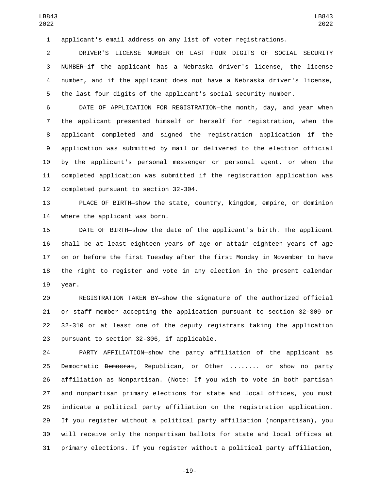applicant's email address on any list of voter registrations.

 DRIVER'S LICENSE NUMBER OR LAST FOUR DIGITS OF SOCIAL SECURITY NUMBER—if the applicant has a Nebraska driver's license, the license number, and if the applicant does not have a Nebraska driver's license, the last four digits of the applicant's social security number.

 DATE OF APPLICATION FOR REGISTRATION—the month, day, and year when the applicant presented himself or herself for registration, when the applicant completed and signed the registration application if the application was submitted by mail or delivered to the election official by the applicant's personal messenger or personal agent, or when the completed application was submitted if the registration application was 12 completed pursuant to section 32-304.

 PLACE OF BIRTH—show the state, country, kingdom, empire, or dominion 14 where the applicant was born.

 DATE OF BIRTH—show the date of the applicant's birth. The applicant shall be at least eighteen years of age or attain eighteen years of age on or before the first Tuesday after the first Monday in November to have the right to register and vote in any election in the present calendar 19 year.

 REGISTRATION TAKEN BY—show the signature of the authorized official or staff member accepting the application pursuant to section 32-309 or 32-310 or at least one of the deputy registrars taking the application 23 pursuant to section 32-306, if applicable.

 PARTY AFFILIATION—show the party affiliation of the applicant as 25 Democratic Democrat, Republican, or Other ........ or show no party affiliation as Nonpartisan. (Note: If you wish to vote in both partisan and nonpartisan primary elections for state and local offices, you must indicate a political party affiliation on the registration application. If you register without a political party affiliation (nonpartisan), you will receive only the nonpartisan ballots for state and local offices at primary elections. If you register without a political party affiliation,

-19-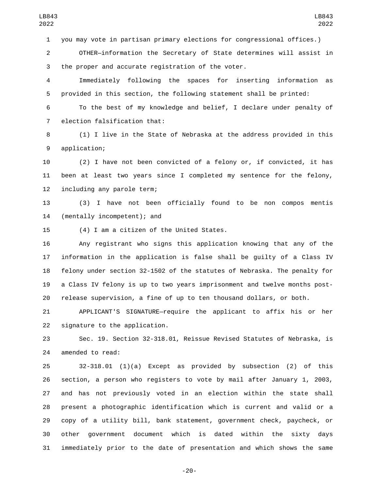you may vote in partisan primary elections for congressional offices.)

 OTHER—information the Secretary of State determines will assist in 3 the proper and accurate registration of the voter.

 Immediately following the spaces for inserting information as provided in this section, the following statement shall be printed:

 To the best of my knowledge and belief, I declare under penalty of 7 election falsification that:

 (1) I live in the State of Nebraska at the address provided in this 9 application;

 (2) I have not been convicted of a felony or, if convicted, it has been at least two years since I completed my sentence for the felony, 12 including any parole term;

 (3) I have not been officially found to be non compos mentis 14 (mentally incompetent); and

15 (4) I am a citizen of the United States.

 Any registrant who signs this application knowing that any of the information in the application is false shall be guilty of a Class IV felony under section 32-1502 of the statutes of Nebraska. The penalty for a Class IV felony is up to two years imprisonment and twelve months post-release supervision, a fine of up to ten thousand dollars, or both.

 APPLICANT'S SIGNATURE—require the applicant to affix his or her 22 signature to the application.

 Sec. 19. Section 32-318.01, Reissue Revised Statutes of Nebraska, is 24 amended to read:

 32-318.01 (1)(a) Except as provided by subsection (2) of this section, a person who registers to vote by mail after January 1, 2003, and has not previously voted in an election within the state shall present a photographic identification which is current and valid or a copy of a utility bill, bank statement, government check, paycheck, or other government document which is dated within the sixty days immediately prior to the date of presentation and which shows the same

-20-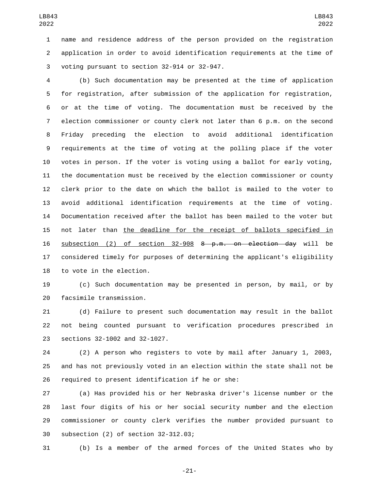name and residence address of the person provided on the registration application in order to avoid identification requirements at the time of 3 voting pursuant to section 32-914 or 32-947.

 (b) Such documentation may be presented at the time of application for registration, after submission of the application for registration, or at the time of voting. The documentation must be received by the election commissioner or county clerk not later than 6 p.m. on the second Friday preceding the election to avoid additional identification requirements at the time of voting at the polling place if the voter votes in person. If the voter is voting using a ballot for early voting, the documentation must be received by the election commissioner or county clerk prior to the date on which the ballot is mailed to the voter to avoid additional identification requirements at the time of voting. Documentation received after the ballot has been mailed to the voter but not later than the deadline for the receipt of ballots specified in subsection (2) of section 32-908 8 p.m. on election day will be considered timely for purposes of determining the applicant's eligibility 18 to vote in the election.

 (c) Such documentation may be presented in person, by mail, or by 20 facsimile transmission.

 (d) Failure to present such documentation may result in the ballot not being counted pursuant to verification procedures prescribed in 23 sections 32-1002 and 32-1027.

 (2) A person who registers to vote by mail after January 1, 2003, and has not previously voted in an election within the state shall not be 26 required to present identification if he or she:

 (a) Has provided his or her Nebraska driver's license number or the last four digits of his or her social security number and the election commissioner or county clerk verifies the number provided pursuant to 30 subsection (2) of section 32-312.03;

(b) Is a member of the armed forces of the United States who by

-21-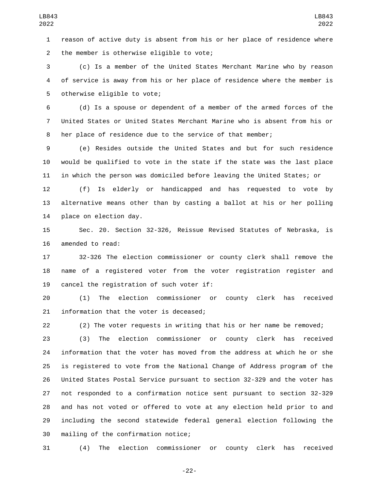reason of active duty is absent from his or her place of residence where 2 the member is otherwise eligible to vote;

 (c) Is a member of the United States Merchant Marine who by reason of service is away from his or her place of residence where the member is 5 otherwise eligible to vote;

 (d) Is a spouse or dependent of a member of the armed forces of the United States or United States Merchant Marine who is absent from his or her place of residence due to the service of that member;

 (e) Resides outside the United States and but for such residence would be qualified to vote in the state if the state was the last place in which the person was domiciled before leaving the United States; or

 (f) Is elderly or handicapped and has requested to vote by alternative means other than by casting a ballot at his or her polling 14 place on election day.

 Sec. 20. Section 32-326, Reissue Revised Statutes of Nebraska, is 16 amended to read:

 32-326 The election commissioner or county clerk shall remove the name of a registered voter from the voter registration register and 19 cancel the registration of such voter if:

 (1) The election commissioner or county clerk has received 21 information that the voter is deceased;

(2) The voter requests in writing that his or her name be removed;

 (3) The election commissioner or county clerk has received information that the voter has moved from the address at which he or she is registered to vote from the National Change of Address program of the United States Postal Service pursuant to section 32-329 and the voter has not responded to a confirmation notice sent pursuant to section 32-329 and has not voted or offered to vote at any election held prior to and including the second statewide federal general election following the 30 mailing of the confirmation notice;

(4) The election commissioner or county clerk has received

-22-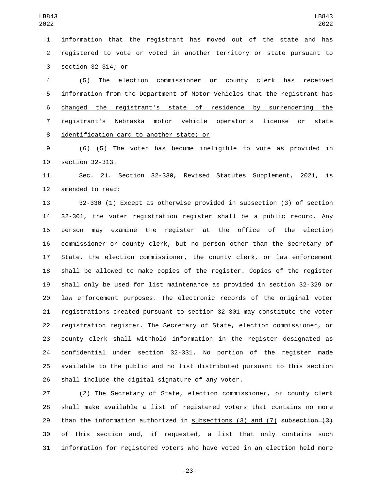information that the registrant has moved out of the state and has registered to vote or voted in another territory or state pursuant to 3 section  $32-314$ ;  $-0f$ 

 (5) The election commissioner or county clerk has received information from the Department of Motor Vehicles that the registrant has changed the registrant's state of residence by surrendering the registrant's Nebraska motor vehicle operator's license or state 8 identification card to another state; or

 (6) (5) The voter has become ineligible to vote as provided in 10 section 32-313.

 Sec. 21. Section 32-330, Revised Statutes Supplement, 2021, is 12 amended to read:

 32-330 (1) Except as otherwise provided in subsection (3) of section 32-301, the voter registration register shall be a public record. Any person may examine the register at the office of the election commissioner or county clerk, but no person other than the Secretary of State, the election commissioner, the county clerk, or law enforcement shall be allowed to make copies of the register. Copies of the register shall only be used for list maintenance as provided in section 32-329 or law enforcement purposes. The electronic records of the original voter registrations created pursuant to section 32-301 may constitute the voter registration register. The Secretary of State, election commissioner, or county clerk shall withhold information in the register designated as confidential under section 32-331. No portion of the register made available to the public and no list distributed pursuant to this section 26 shall include the digital signature of any voter.

 (2) The Secretary of State, election commissioner, or county clerk shall make available a list of registered voters that contains no more 29 than the information authorized in subsections (3) and (7) subsection (3) of this section and, if requested, a list that only contains such information for registered voters who have voted in an election held more

-23-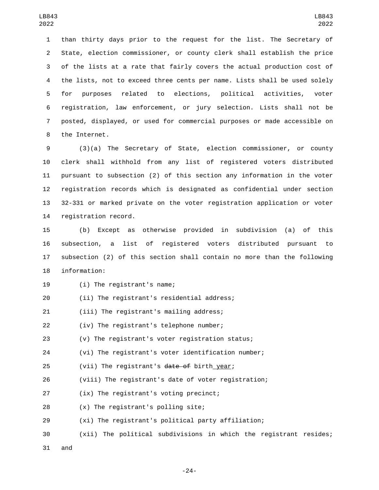than thirty days prior to the request for the list. The Secretary of State, election commissioner, or county clerk shall establish the price of the lists at a rate that fairly covers the actual production cost of the lists, not to exceed three cents per name. Lists shall be used solely for purposes related to elections, political activities, voter registration, law enforcement, or jury selection. Lists shall not be posted, displayed, or used for commercial purposes or made accessible on 8 the Internet.

 (3)(a) The Secretary of State, election commissioner, or county clerk shall withhold from any list of registered voters distributed pursuant to subsection (2) of this section any information in the voter registration records which is designated as confidential under section 32-331 or marked private on the voter registration application or voter 14 registration record.

 (b) Except as otherwise provided in subdivision (a) of this subsection, a list of registered voters distributed pursuant to subsection (2) of this section shall contain no more than the following 18 information:

19 (i) The registrant's name;

20 (ii) The registrant's residential address;

(iii) The registrant's mailing address;21

(iv) The registrant's telephone number;

(v) The registrant's voter registration status;

(vi) The registrant's voter identification number;

25 (vii) The registrant's date of birth year;

(viii) The registrant's date of voter registration;

27 (ix) The registrant's voting precinct;

28 (x) The registrant's polling site;

(xi) The registrant's political party affiliation;

(xii) The political subdivisions in which the registrant resides;

and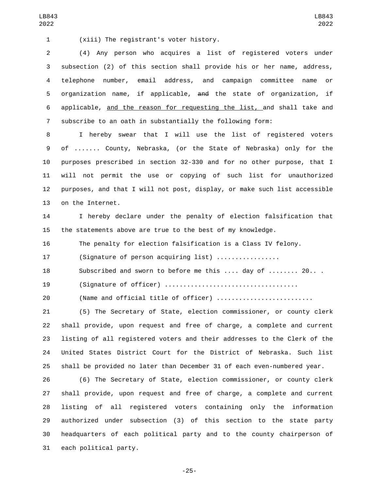(xiii) The registrant's voter history.1

 (4) Any person who acquires a list of registered voters under subsection (2) of this section shall provide his or her name, address, telephone number, email address, and campaign committee name or organization name, if applicable, and the state of organization, if applicable, and the reason for requesting the list, and shall take and subscribe to an oath in substantially the following form:

LB843 

 I hereby swear that I will use the list of registered voters of ....... County, Nebraska, (or the State of Nebraska) only for the purposes prescribed in section 32-330 and for no other purpose, that I will not permit the use or copying of such list for unauthorized purposes, and that I will not post, display, or make such list accessible 13 on the Internet.

 I hereby declare under the penalty of election falsification that the statements above are true to the best of my knowledge.

The penalty for election falsification is a Class IV felony.

17 (Signature of person acquiring list) .................

Subscribed and sworn to before me this .... day of ........ 20.. .

(Signature of officer) ....................................

20 (Name and official title of officer) ..........................

 (5) The Secretary of State, election commissioner, or county clerk shall provide, upon request and free of charge, a complete and current listing of all registered voters and their addresses to the Clerk of the United States District Court for the District of Nebraska. Such list shall be provided no later than December 31 of each even-numbered year.

 (6) The Secretary of State, election commissioner, or county clerk shall provide, upon request and free of charge, a complete and current listing of all registered voters containing only the information authorized under subsection (3) of this section to the state party headquarters of each political party and to the county chairperson of 31 each political party.

-25-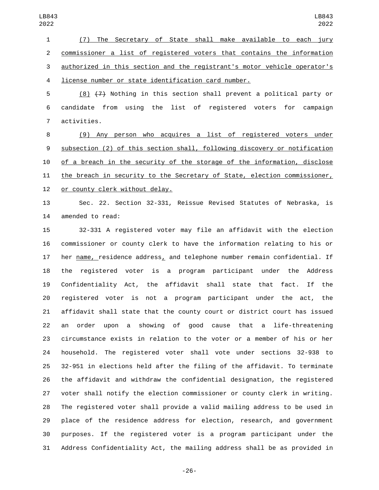(7) The Secretary of State shall make available to each jury commissioner a list of registered voters that contains the information authorized in this section and the registrant's motor vehicle operator's license number or state identification card number.

 (8) (7) Nothing in this section shall prevent a political party or candidate from using the list of registered voters for campaign 7 activities.

 (9) Any person who acquires a list of registered voters under subsection (2) of this section shall, following discovery or notification of a breach in the security of the storage of the information, disclose 11 the breach in security to the Secretary of State, election commissioner, 12 or county clerk without delay.

 Sec. 22. Section 32-331, Reissue Revised Statutes of Nebraska, is 14 amended to read:

 32-331 A registered voter may file an affidavit with the election commissioner or county clerk to have the information relating to his or her name, residence address, and telephone number remain confidential. If the registered voter is a program participant under the Address Confidentiality Act, the affidavit shall state that fact. If the registered voter is not a program participant under the act, the affidavit shall state that the county court or district court has issued an order upon a showing of good cause that a life-threatening circumstance exists in relation to the voter or a member of his or her household. The registered voter shall vote under sections 32-938 to 32-951 in elections held after the filing of the affidavit. To terminate the affidavit and withdraw the confidential designation, the registered voter shall notify the election commissioner or county clerk in writing. The registered voter shall provide a valid mailing address to be used in place of the residence address for election, research, and government purposes. If the registered voter is a program participant under the Address Confidentiality Act, the mailing address shall be as provided in

-26-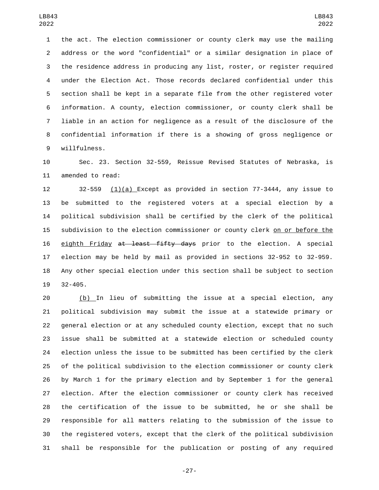the act. The election commissioner or county clerk may use the mailing address or the word "confidential" or a similar designation in place of the residence address in producing any list, roster, or register required under the Election Act. Those records declared confidential under this section shall be kept in a separate file from the other registered voter information. A county, election commissioner, or county clerk shall be liable in an action for negligence as a result of the disclosure of the confidential information if there is a showing of gross negligence or willfulness.9

 Sec. 23. Section 32-559, Reissue Revised Statutes of Nebraska, is 11 amended to read:

 32-559 (1)(a) Except as provided in section 77-3444, any issue to be submitted to the registered voters at a special election by a political subdivision shall be certified by the clerk of the political subdivision to the election commissioner or county clerk on or before the 16 eighth Friday at least fifty days prior to the election. A special election may be held by mail as provided in sections 32-952 to 32-959. Any other special election under this section shall be subject to section  $32 - 405$ .

 (b) In lieu of submitting the issue at a special election, any political subdivision may submit the issue at a statewide primary or general election or at any scheduled county election, except that no such issue shall be submitted at a statewide election or scheduled county election unless the issue to be submitted has been certified by the clerk of the political subdivision to the election commissioner or county clerk by March 1 for the primary election and by September 1 for the general election. After the election commissioner or county clerk has received the certification of the issue to be submitted, he or she shall be responsible for all matters relating to the submission of the issue to the registered voters, except that the clerk of the political subdivision shall be responsible for the publication or posting of any required

-27-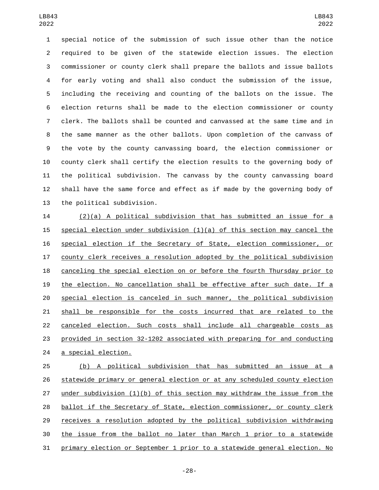special notice of the submission of such issue other than the notice required to be given of the statewide election issues. The election commissioner or county clerk shall prepare the ballots and issue ballots for early voting and shall also conduct the submission of the issue, including the receiving and counting of the ballots on the issue. The election returns shall be made to the election commissioner or county clerk. The ballots shall be counted and canvassed at the same time and in the same manner as the other ballots. Upon completion of the canvass of the vote by the county canvassing board, the election commissioner or county clerk shall certify the election results to the governing body of the political subdivision. The canvass by the county canvassing board shall have the same force and effect as if made by the governing body of 13 the political subdivision.

 (2)(a) A political subdivision that has submitted an issue for a special election under subdivision (1)(a) of this section may cancel the special election if the Secretary of State, election commissioner, or county clerk receives a resolution adopted by the political subdivision canceling the special election on or before the fourth Thursday prior to the election. No cancellation shall be effective after such date. If a special election is canceled in such manner, the political subdivision shall be responsible for the costs incurred that are related to the canceled election. Such costs shall include all chargeable costs as provided in section 32-1202 associated with preparing for and conducting 24 a special election.

 (b) A political subdivision that has submitted an issue at a statewide primary or general election or at any scheduled county election under subdivision (1)(b) of this section may withdraw the issue from the ballot if the Secretary of State, election commissioner, or county clerk receives a resolution adopted by the political subdivision withdrawing the issue from the ballot no later than March 1 prior to a statewide primary election or September 1 prior to a statewide general election. No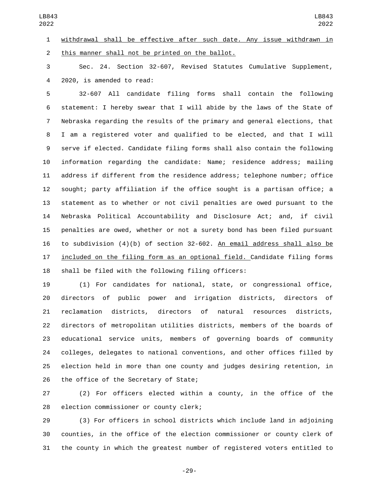withdrawal shall be effective after such date. Any issue withdrawn in 2 this manner shall not be printed on the ballot.

 Sec. 24. Section 32-607, Revised Statutes Cumulative Supplement, 4 2020, is amended to read:

 32-607 All candidate filing forms shall contain the following statement: I hereby swear that I will abide by the laws of the State of Nebraska regarding the results of the primary and general elections, that I am a registered voter and qualified to be elected, and that I will serve if elected. Candidate filing forms shall also contain the following information regarding the candidate: Name; residence address; mailing address if different from the residence address; telephone number; office sought; party affiliation if the office sought is a partisan office; a statement as to whether or not civil penalties are owed pursuant to the Nebraska Political Accountability and Disclosure Act; and, if civil penalties are owed, whether or not a surety bond has been filed pursuant to subdivision (4)(b) of section 32-602. An email address shall also be included on the filing form as an optional field. Candidate filing forms shall be filed with the following filing officers:

 (1) For candidates for national, state, or congressional office, directors of public power and irrigation districts, directors of reclamation districts, directors of natural resources districts, directors of metropolitan utilities districts, members of the boards of educational service units, members of governing boards of community colleges, delegates to national conventions, and other offices filled by election held in more than one county and judges desiring retention, in 26 the office of the Secretary of State;

 (2) For officers elected within a county, in the office of the 28 election commissioner or county clerk;

 (3) For officers in school districts which include land in adjoining counties, in the office of the election commissioner or county clerk of the county in which the greatest number of registered voters entitled to

-29-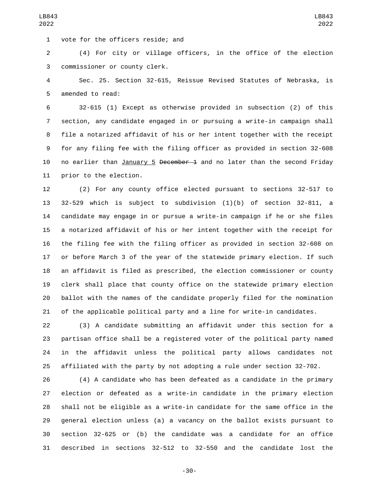1 vote for the officers reside; and

 (4) For city or village officers, in the office of the election commissioner or county clerk.3

 Sec. 25. Section 32-615, Reissue Revised Statutes of Nebraska, is 5 amended to read:

 32-615 (1) Except as otherwise provided in subsection (2) of this section, any candidate engaged in or pursuing a write-in campaign shall file a notarized affidavit of his or her intent together with the receipt for any filing fee with the filing officer as provided in section 32-608 10 no earlier than January 5 December 1 and no later than the second Friday 11 prior to the election.

 (2) For any county office elected pursuant to sections 32-517 to 32-529 which is subject to subdivision (1)(b) of section 32-811, a candidate may engage in or pursue a write-in campaign if he or she files a notarized affidavit of his or her intent together with the receipt for the filing fee with the filing officer as provided in section 32-608 on or before March 3 of the year of the statewide primary election. If such an affidavit is filed as prescribed, the election commissioner or county clerk shall place that county office on the statewide primary election ballot with the names of the candidate properly filed for the nomination of the applicable political party and a line for write-in candidates.

 (3) A candidate submitting an affidavit under this section for a partisan office shall be a registered voter of the political party named in the affidavit unless the political party allows candidates not affiliated with the party by not adopting a rule under section 32-702.

 (4) A candidate who has been defeated as a candidate in the primary election or defeated as a write-in candidate in the primary election shall not be eligible as a write-in candidate for the same office in the general election unless (a) a vacancy on the ballot exists pursuant to section 32-625 or (b) the candidate was a candidate for an office described in sections 32-512 to 32-550 and the candidate lost the

-30-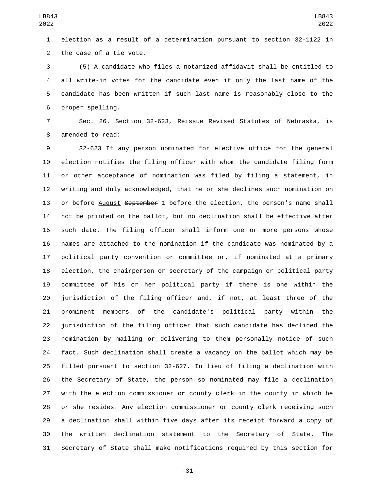election as a result of a determination pursuant to section 32-1122 in 2 the case of a tie vote.

 (5) A candidate who files a notarized affidavit shall be entitled to all write-in votes for the candidate even if only the last name of the candidate has been written if such last name is reasonably close to the 6 proper spelling.

 Sec. 26. Section 32-623, Reissue Revised Statutes of Nebraska, is 8 amended to read:

 32-623 If any person nominated for elective office for the general election notifies the filing officer with whom the candidate filing form or other acceptance of nomination was filed by filing a statement, in writing and duly acknowledged, that he or she declines such nomination on 13 or before August September 1 before the election, the person's name shall not be printed on the ballot, but no declination shall be effective after such date. The filing officer shall inform one or more persons whose names are attached to the nomination if the candidate was nominated by a political party convention or committee or, if nominated at a primary election, the chairperson or secretary of the campaign or political party committee of his or her political party if there is one within the jurisdiction of the filing officer and, if not, at least three of the prominent members of the candidate's political party within the jurisdiction of the filing officer that such candidate has declined the nomination by mailing or delivering to them personally notice of such fact. Such declination shall create a vacancy on the ballot which may be filled pursuant to section 32-627. In lieu of filing a declination with the Secretary of State, the person so nominated may file a declination with the election commissioner or county clerk in the county in which he or she resides. Any election commissioner or county clerk receiving such a declination shall within five days after its receipt forward a copy of the written declination statement to the Secretary of State. The Secretary of State shall make notifications required by this section for

-31-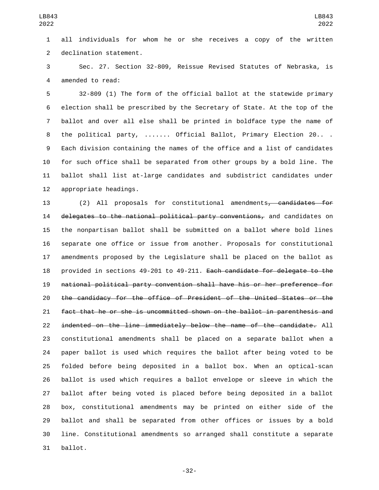all individuals for whom he or she receives a copy of the written 2 declination statement.

 Sec. 27. Section 32-809, Reissue Revised Statutes of Nebraska, is 4 amended to read:

 32-809 (1) The form of the official ballot at the statewide primary election shall be prescribed by the Secretary of State. At the top of the ballot and over all else shall be printed in boldface type the name of the political party, ....... Official Ballot, Primary Election 20.. . Each division containing the names of the office and a list of candidates for such office shall be separated from other groups by a bold line. The ballot shall list at-large candidates and subdistrict candidates under 12 appropriate headings.

 (2) All proposals for constitutional amendments, candidates for 14 delegates to the national political party conventions, and candidates on the nonpartisan ballot shall be submitted on a ballot where bold lines separate one office or issue from another. Proposals for constitutional amendments proposed by the Legislature shall be placed on the ballot as provided in sections 49-201 to 49-211. Each candidate for delegate to the national political party convention shall have his or her preference for the candidacy for the office of President of the United States or the fact that he or she is uncommitted shown on the ballot in parenthesis and indented on the line immediately below the name of the candidate. All constitutional amendments shall be placed on a separate ballot when a paper ballot is used which requires the ballot after being voted to be folded before being deposited in a ballot box. When an optical-scan ballot is used which requires a ballot envelope or sleeve in which the ballot after being voted is placed before being deposited in a ballot box, constitutional amendments may be printed on either side of the ballot and shall be separated from other offices or issues by a bold line. Constitutional amendments so arranged shall constitute a separate 31 ballot.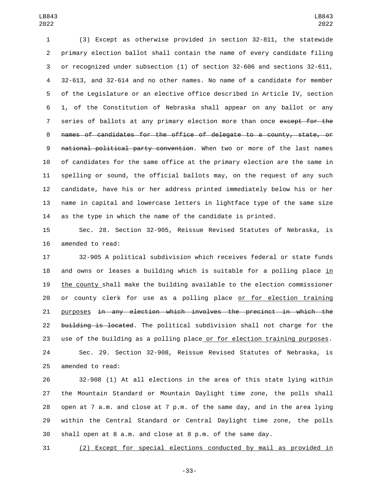(3) Except as otherwise provided in section 32-811, the statewide primary election ballot shall contain the name of every candidate filing or recognized under subsection (1) of section 32-606 and sections 32-611, 32-613, and 32-614 and no other names. No name of a candidate for member of the Legislature or an elective office described in Article IV, section 1, of the Constitution of Nebraska shall appear on any ballot or any 7 series of ballots at any primary election more than once except for the names of candidates for the office of delegate to a county, state, or national political party convention. When two or more of the last names of candidates for the same office at the primary election are the same in spelling or sound, the official ballots may, on the request of any such candidate, have his or her address printed immediately below his or her name in capital and lowercase letters in lightface type of the same size as the type in which the name of the candidate is printed.

 Sec. 28. Section 32-905, Reissue Revised Statutes of Nebraska, is 16 amended to read:

 32-905 A political subdivision which receives federal or state funds 18 and owns or leases a building which is suitable for a polling place in the county shall make the building available to the election commissioner or county clerk for use as a polling place or for election training purposes in any election which involves the precinct in which the 22 building is located. The political subdivision shall not charge for the use of the building as a polling place or for election training purposes.

 Sec. 29. Section 32-908, Reissue Revised Statutes of Nebraska, is 25 amended to read:

 32-908 (1) At all elections in the area of this state lying within the Mountain Standard or Mountain Daylight time zone, the polls shall open at 7 a.m. and close at 7 p.m. of the same day, and in the area lying within the Central Standard or Central Daylight time zone, the polls shall open at 8 a.m. and close at 8 p.m. of the same day.

(2) Except for special elections conducted by mail as provided in

-33-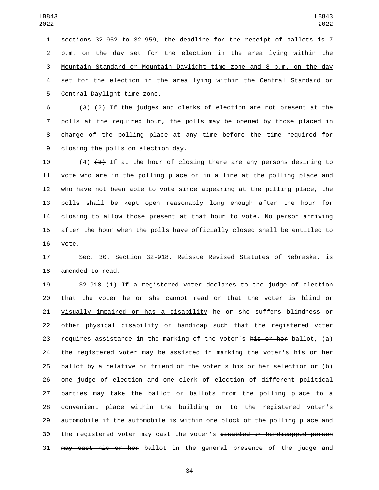sections 32-952 to 32-959, the deadline for the receipt of ballots is 7 p.m. on the day set for the election in the area lying within the Mountain Standard or Mountain Daylight time zone and 8 p.m. on the day set for the election in the area lying within the Central Standard or 5 Central Daylight time zone.

6 (3)  $(2)$  If the judges and clerks of election are not present at the polls at the required hour, the polls may be opened by those placed in charge of the polling place at any time before the time required for 9 closing the polls on election day.

10 (4) (3) If at the hour of closing there are any persons desiring to vote who are in the polling place or in a line at the polling place and who have not been able to vote since appearing at the polling place, the polls shall be kept open reasonably long enough after the hour for closing to allow those present at that hour to vote. No person arriving after the hour when the polls have officially closed shall be entitled to 16 vote.

 Sec. 30. Section 32-918, Reissue Revised Statutes of Nebraska, is 18 amended to read:

 32-918 (1) If a registered voter declares to the judge of election 20 that the voter he or she cannot read or that the voter is blind or visually impaired or has a disability he or she suffers blindness or 22 other physical disability or handicap such that the registered voter 23 requires assistance in the marking of the voter's  $h$  is or her ballot, (a) 24 the registered voter may be assisted in marking the voter's his or her 25 ballot by a relative or friend of the voter's his or her selection or (b) one judge of election and one clerk of election of different political parties may take the ballot or ballots from the polling place to a convenient place within the building or to the registered voter's automobile if the automobile is within one block of the polling place and the registered voter may cast the voter's disabled or handicapped person may cast his or her ballot in the general presence of the judge and

-34-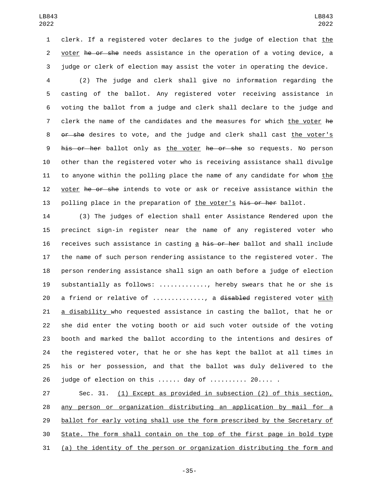clerk. If a registered voter declares to the judge of election that the 2 voter he or she needs assistance in the operation of a voting device, a judge or clerk of election may assist the voter in operating the device.

 (2) The judge and clerk shall give no information regarding the casting of the ballot. Any registered voter receiving assistance in voting the ballot from a judge and clerk shall declare to the judge and clerk the name of the candidates and the measures for which the voter he 8 or she desires to vote, and the judge and clerk shall cast the voter's 9 his or her ballot only as the voter he or she so requests. No person other than the registered voter who is receiving assistance shall divulge to anyone within the polling place the name of any candidate for whom the 12 voter he or she intends to vote or ask or receive assistance within the 13 polling place in the preparation of the voter's his or her ballot.

 (3) The judges of election shall enter Assistance Rendered upon the precinct sign-in register near the name of any registered voter who 16 receives such assistance in casting a his or her ballot and shall include the name of such person rendering assistance to the registered voter. The person rendering assistance shall sign an oath before a judge of election substantially as follows: ............., hereby swears that he or she is 20 a friend or relative of ............., a disabled registered voter with a disability who requested assistance in casting the ballot, that he or she did enter the voting booth or aid such voter outside of the voting booth and marked the ballot according to the intentions and desires of the registered voter, that he or she has kept the ballot at all times in his or her possession, and that the ballot was duly delivered to the judge of election on this ...... day of .......... 20.... .

 Sec. 31. (1) Except as provided in subsection (2) of this section, any person or organization distributing an application by mail for a ballot for early voting shall use the form prescribed by the Secretary of State. The form shall contain on the top of the first page in bold type (a) the identity of the person or organization distributing the form and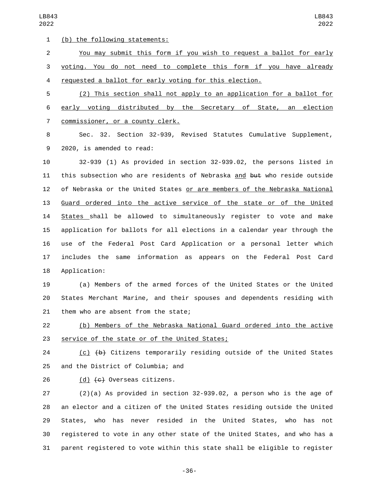1 (b) the following statements:

 You may submit this form if you wish to request a ballot for early voting. You do not need to complete this form if you have already requested a ballot for early voting for this election.

 (2) This section shall not apply to an application for a ballot for early voting distributed by the Secretary of State, an election 7 commissioner, or a county clerk.

 Sec. 32. Section 32-939, Revised Statutes Cumulative Supplement, 9 2020, is amended to read:

 32-939 (1) As provided in section 32-939.02, the persons listed in 11 this subsection who are residents of Nebraska and but who reside outside of Nebraska or the United States or are members of the Nebraska National Guard ordered into the active service of the state or of the United States shall be allowed to simultaneously register to vote and make application for ballots for all elections in a calendar year through the use of the Federal Post Card Application or a personal letter which includes the same information as appears on the Federal Post Card 18 Application:

 (a) Members of the armed forces of the United States or the United States Merchant Marine, and their spouses and dependents residing with 21 them who are absent from the state;

 (b) Members of the Nebraska National Guard ordered into the active 23 service of the state or of the United States;

 (c) (b) Citizens temporarily residing outside of the United States 25 and the District of Columbia; and

26 (d)  $\left\lbrace \begin{matrix} \epsilon \end{matrix} \right\rbrace$  Overseas citizens.

 (2)(a) As provided in section 32-939.02, a person who is the age of an elector and a citizen of the United States residing outside the United States, who has never resided in the United States, who has not registered to vote in any other state of the United States, and who has a parent registered to vote within this state shall be eligible to register

-36-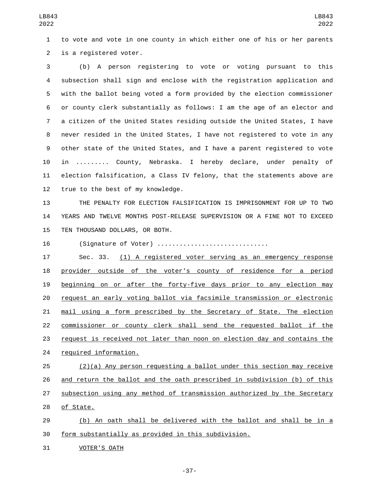to vote and vote in one county in which either one of his or her parents 2 is a registered voter.

 (b) A person registering to vote or voting pursuant to this subsection shall sign and enclose with the registration application and with the ballot being voted a form provided by the election commissioner or county clerk substantially as follows: I am the age of an elector and a citizen of the United States residing outside the United States, I have never resided in the United States, I have not registered to vote in any other state of the United States, and I have a parent registered to vote in ......... County, Nebraska. I hereby declare, under penalty of election falsification, a Class IV felony, that the statements above are 12 true to the best of my knowledge.

 THE PENALTY FOR ELECTION FALSIFICATION IS IMPRISONMENT FOR UP TO TWO YEARS AND TWELVE MONTHS POST-RELEASE SUPERVISION OR A FINE NOT TO EXCEED 15 TEN THOUSAND DOLLARS, OR BOTH.

(Signature of Voter) ..............................

 Sec. 33. (1) A registered voter serving as an emergency response provider outside of the voter's county of residence for a period beginning on or after the forty-five days prior to any election may request an early voting ballot via facsimile transmission or electronic mail using a form prescribed by the Secretary of State. The election commissioner or county clerk shall send the requested ballot if the request is received not later than noon on election day and contains the 24 required information.

 (2)(a) Any person requesting a ballot under this section may receive and return the ballot and the oath prescribed in subdivision (b) of this subsection using any method of transmission authorized by the Secretary 28 of State.

 (b) An oath shall be delivered with the ballot and shall be in a form substantially as provided in this subdivision.

31 VOTER'S OATH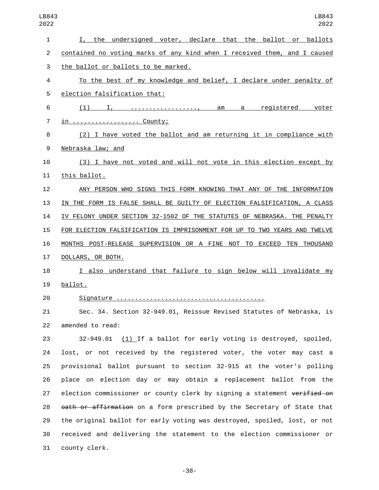| 1  | I, the undersigned voter, declare that the ballot or ballots              |
|----|---------------------------------------------------------------------------|
| 2  | contained no voting marks of any kind when I received them, and I caused  |
| 3  | the ballot or ballots to be marked.                                       |
| 4  | To the best of my knowledge and belief, I declare under penalty of        |
| 5  | election falsification that:                                              |
| 6  | (1) I, , am a registered voter                                            |
| 7  | <u>in  County;</u>                                                        |
| 8  | (2) I have voted the ballot and am returning it in compliance with        |
| 9  | Nebraska law; and                                                         |
| 10 | (3) I have not voted and will not vote in this election except by         |
| 11 | this ballot.                                                              |
| 12 | ANY PERSON WHO SIGNS THIS FORM KNOWING THAT ANY OF THE INFORMATION        |
| 13 | IN THE FORM IS FALSE SHALL BE GUILTY OF ELECTION FALSIFICATION, A CLASS   |
| 14 | IV FELONY UNDER SECTION 32-1502 OF THE STATUTES OF NEBRASKA. THE PENALTY  |
| 15 | FOR ELECTION FALSIFICATION IS IMPRISONMENT FOR UP TO TWO YEARS AND TWELVE |
| 16 | MONTHS POST-RELEASE SUPERVISION OR A FINE NOT TO EXCEED TEN THOUSAND      |
| 17 | DOLLARS, OR BOTH.                                                         |
| 18 | I also understand that failure to sign below will invalidate my           |
| 19 | ballot.                                                                   |
| 20 |                                                                           |
| 21 | Sec. 34. Section 32-949.01, Reissue Revised Statutes of Nebraska, is      |
| 22 | amended to read:                                                          |
| 23 | $32-949.01$ (1) If a ballot for early voting is destroyed, spoiled,       |
| 24 | lost, or not received by the registered voter, the voter may cast a       |
| 25 | provisional ballot pursuant to section 32-915 at the voter's polling      |
| 26 | place on election day or may obtain a replacement ballot from the         |

27 election commissioner or county clerk by signing a statement verified on 28 oath or affirmation on a form prescribed by the Secretary of State that the original ballot for early voting was destroyed, spoiled, lost, or not received and delivering the statement to the election commissioner or 31 county clerk.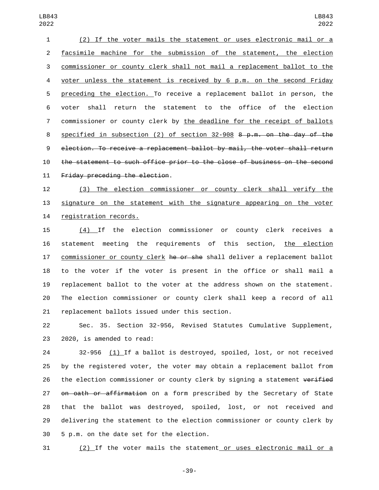(2) If the voter mails the statement or uses electronic mail or a facsimile machine for the submission of the statement, the election commissioner or county clerk shall not mail a replacement ballot to the voter unless the statement is received by 6 p.m. on the second Friday preceding the election. To receive a replacement ballot in person, the voter shall return the statement to the office of the election commissioner or county clerk by the deadline for the receipt of ballots specified in subsection (2) of section 32-908 8 p.m. on the day of the election. To receive a replacement ballot by mail, the voter shall return the statement to such office prior to the close of business on the second 11 Friday preceding the election.

 (3) The election commissioner or county clerk shall verify the signature on the statement with the signature appearing on the voter 14 registration records.

 (4) If the election commissioner or county clerk receives a 16 statement meeting the requirements of this section, the election 17 commissioner or county clerk he or she shall deliver a replacement ballot to the voter if the voter is present in the office or shall mail a replacement ballot to the voter at the address shown on the statement. The election commissioner or county clerk shall keep a record of all 21 replacement ballots issued under this section.

 Sec. 35. Section 32-956, Revised Statutes Cumulative Supplement, 23 2020, is amended to read:

 32-956 (1) If a ballot is destroyed, spoiled, lost, or not received by the registered voter, the voter may obtain a replacement ballot from 26 the election commissioner or county clerk by signing a statement verified 27 on oath or affirmation on a form prescribed by the Secretary of State that the ballot was destroyed, spoiled, lost, or not received and delivering the statement to the election commissioner or county clerk by 30 5 p.m. on the date set for the election.

(2) If the voter mails the statement or uses electronic mail or a

-39-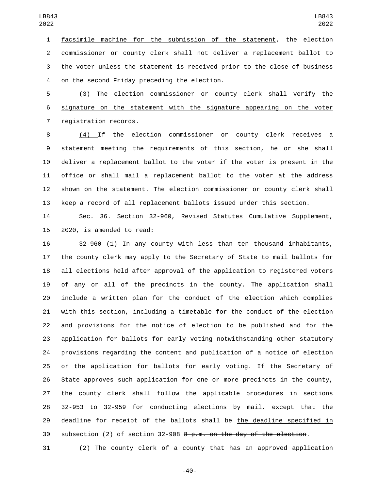facsimile machine for the submission of the statement, the election commissioner or county clerk shall not deliver a replacement ballot to the voter unless the statement is received prior to the close of business 4 on the second Friday preceding the election.

 (3) The election commissioner or county clerk shall verify the signature on the statement with the signature appearing on the voter 7 registration records.

 (4) If the election commissioner or county clerk receives a statement meeting the requirements of this section, he or she shall deliver a replacement ballot to the voter if the voter is present in the office or shall mail a replacement ballot to the voter at the address shown on the statement. The election commissioner or county clerk shall keep a record of all replacement ballots issued under this section.

 Sec. 36. Section 32-960, Revised Statutes Cumulative Supplement, 2020, is amended to read:

 32-960 (1) In any county with less than ten thousand inhabitants, the county clerk may apply to the Secretary of State to mail ballots for all elections held after approval of the application to registered voters of any or all of the precincts in the county. The application shall include a written plan for the conduct of the election which complies with this section, including a timetable for the conduct of the election and provisions for the notice of election to be published and for the application for ballots for early voting notwithstanding other statutory provisions regarding the content and publication of a notice of election or the application for ballots for early voting. If the Secretary of State approves such application for one or more precincts in the county, the county clerk shall follow the applicable procedures in sections 32-953 to 32-959 for conducting elections by mail, except that the 29 deadline for receipt of the ballots shall be the deadline specified in 30 subsection (2) of section  $32-908$  8 p.m. on the day of the election.

(2) The county clerk of a county that has an approved application

-40-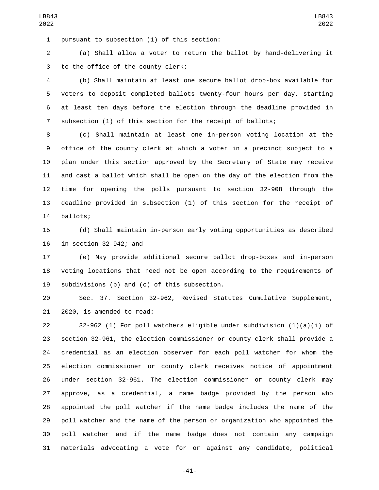1 pursuant to subsection (1) of this section:

 (a) Shall allow a voter to return the ballot by hand-delivering it 3 to the office of the county clerk;

 (b) Shall maintain at least one secure ballot drop-box available for voters to deposit completed ballots twenty-four hours per day, starting at least ten days before the election through the deadline provided in subsection (1) of this section for the receipt of ballots;

 (c) Shall maintain at least one in-person voting location at the office of the county clerk at which a voter in a precinct subject to a plan under this section approved by the Secretary of State may receive and cast a ballot which shall be open on the day of the election from the time for opening the polls pursuant to section 32-908 through the deadline provided in subsection (1) of this section for the receipt of 14 ballots;

 (d) Shall maintain in-person early voting opportunities as described in section 32-942; and

 (e) May provide additional secure ballot drop-boxes and in-person voting locations that need not be open according to the requirements of 19 subdivisions (b) and (c) of this subsection.

 Sec. 37. Section 32-962, Revised Statutes Cumulative Supplement,  $2020$ , is amended to read:

 32-962 (1) For poll watchers eligible under subdivision (1)(a)(i) of section 32-961, the election commissioner or county clerk shall provide a credential as an election observer for each poll watcher for whom the election commissioner or county clerk receives notice of appointment under section 32-961. The election commissioner or county clerk may approve, as a credential, a name badge provided by the person who appointed the poll watcher if the name badge includes the name of the poll watcher and the name of the person or organization who appointed the poll watcher and if the name badge does not contain any campaign materials advocating a vote for or against any candidate, political

-41-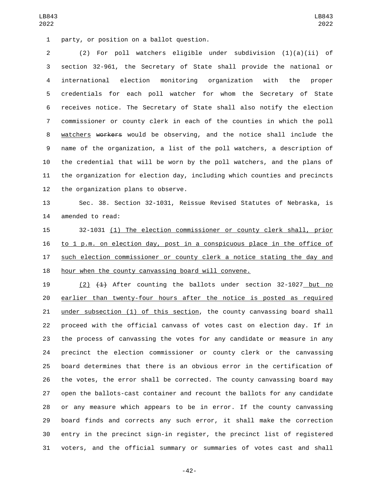1 party, or position on a ballot question.

 (2) For poll watchers eligible under subdivision (1)(a)(ii) of section 32-961, the Secretary of State shall provide the national or international election monitoring organization with the proper credentials for each poll watcher for whom the Secretary of State receives notice. The Secretary of State shall also notify the election commissioner or county clerk in each of the counties in which the poll watchers workers would be observing, and the notice shall include the name of the organization, a list of the poll watchers, a description of the credential that will be worn by the poll watchers, and the plans of the organization for election day, including which counties and precincts 12 the organization plans to observe.

 Sec. 38. Section 32-1031, Reissue Revised Statutes of Nebraska, is 14 amended to read:

 32-1031 (1) The election commissioner or county clerk shall, prior to 1 p.m. on election day, post in a conspicuous place in the office of 17 such election commissioner or county clerk a notice stating the day and hour when the county canvassing board will convene.

 (2) (1) After counting the ballots under section 32-1027 but no earlier than twenty-four hours after the notice is posted as required under subsection (1) of this section, the county canvassing board shall proceed with the official canvass of votes cast on election day. If in the process of canvassing the votes for any candidate or measure in any precinct the election commissioner or county clerk or the canvassing board determines that there is an obvious error in the certification of the votes, the error shall be corrected. The county canvassing board may open the ballots-cast container and recount the ballots for any candidate or any measure which appears to be in error. If the county canvassing board finds and corrects any such error, it shall make the correction entry in the precinct sign-in register, the precinct list of registered voters, and the official summary or summaries of votes cast and shall

-42-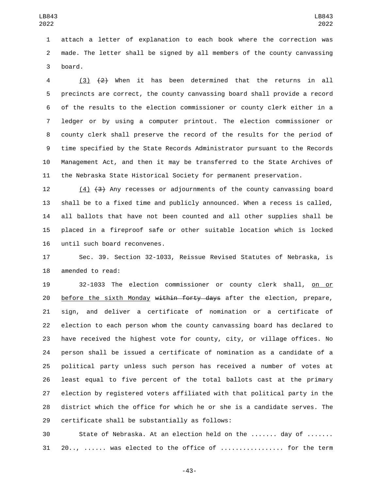attach a letter of explanation to each book where the correction was made. The letter shall be signed by all members of the county canvassing 3 board.

 (3) (2) When it has been determined that the returns in all precincts are correct, the county canvassing board shall provide a record of the results to the election commissioner or county clerk either in a ledger or by using a computer printout. The election commissioner or county clerk shall preserve the record of the results for the period of time specified by the State Records Administrator pursuant to the Records Management Act, and then it may be transferred to the State Archives of the Nebraska State Historical Society for permanent preservation.

 (4) (3) Any recesses or adjournments of the county canvassing board shall be to a fixed time and publicly announced. When a recess is called, all ballots that have not been counted and all other supplies shall be placed in a fireproof safe or other suitable location which is locked 16 until such board reconvenes.

 Sec. 39. Section 32-1033, Reissue Revised Statutes of Nebraska, is 18 amended to read:

 32-1033 The election commissioner or county clerk shall, on or 20 before the sixth Monday within forty days after the election, prepare, sign, and deliver a certificate of nomination or a certificate of election to each person whom the county canvassing board has declared to have received the highest vote for county, city, or village offices. No person shall be issued a certificate of nomination as a candidate of a political party unless such person has received a number of votes at least equal to five percent of the total ballots cast at the primary election by registered voters affiliated with that political party in the district which the office for which he or she is a candidate serves. The 29 certificate shall be substantially as follows:

 State of Nebraska. At an election held on the ....... day of ....... 20.., ...... was elected to the office of ................. for the term

-43-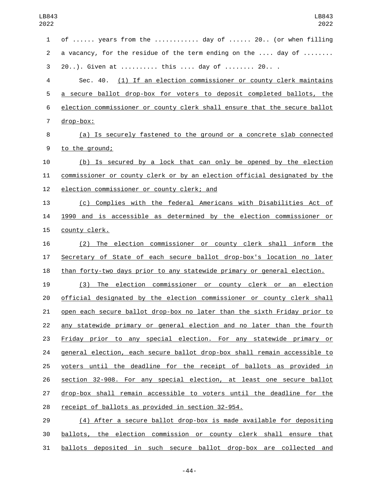of ...... years from the ............ day of ...... 20.. (or when filling 2 a vacancy, for the residue of the term ending on the .... day of ....... 20..). Given at .......... this .... day of ........ 20.. . Sec. 40. (1) If an election commissioner or county clerk maintains a secure ballot drop-box for voters to deposit completed ballots, the election commissioner or county clerk shall ensure that the secure ballot 7 drop-box: (a) Is securely fastened to the ground or a concrete slab connected 9 to the ground; (b) Is secured by a lock that can only be opened by the election commissioner or county clerk or by an election official designated by the 12 election commissioner or county clerk; and (c) Complies with the federal Americans with Disabilities Act of 1990 and is accessible as determined by the election commissioner or 15 county clerk. (2) The election commissioner or county clerk shall inform the Secretary of State of each secure ballot drop-box's location no later 18 than forty-two days prior to any statewide primary or general election. (3) The election commissioner or county clerk or an election official designated by the election commissioner or county clerk shall open each secure ballot drop-box no later than the sixth Friday prior to any statewide primary or general election and no later than the fourth Friday prior to any special election. For any statewide primary or general election, each secure ballot drop-box shall remain accessible to voters until the deadline for the receipt of ballots as provided in section 32-908. For any special election, at least one secure ballot drop-box shall remain accessible to voters until the deadline for the 28 receipt of ballots as provided in section 32-954. (4) After a secure ballot drop-box is made available for depositing ballots, the election commission or county clerk shall ensure that

ballots deposited in such secure ballot drop-box are collected and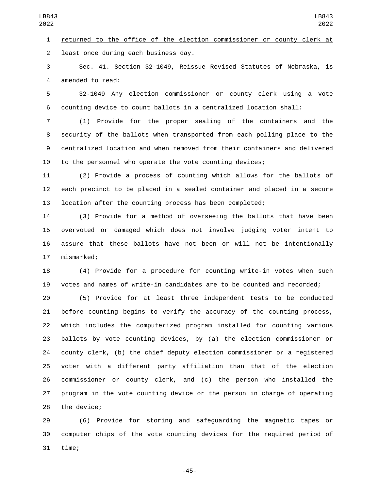Sec. 41. Section 32-1049, Reissue Revised Statutes of Nebraska, is 4 amended to read:

LB843 

 32-1049 Any election commissioner or county clerk using a vote counting device to count ballots in a centralized location shall:

 (1) Provide for the proper sealing of the containers and the security of the ballots when transported from each polling place to the centralized location and when removed from their containers and delivered to the personnel who operate the vote counting devices;

 (2) Provide a process of counting which allows for the ballots of each precinct to be placed in a sealed container and placed in a secure location after the counting process has been completed;

 (3) Provide for a method of overseeing the ballots that have been overvoted or damaged which does not involve judging voter intent to assure that these ballots have not been or will not be intentionally 17 mismarked;

 (4) Provide for a procedure for counting write-in votes when such votes and names of write-in candidates are to be counted and recorded;

 (5) Provide for at least three independent tests to be conducted before counting begins to verify the accuracy of the counting process, which includes the computerized program installed for counting various ballots by vote counting devices, by (a) the election commissioner or county clerk, (b) the chief deputy election commissioner or a registered voter with a different party affiliation than that of the election commissioner or county clerk, and (c) the person who installed the program in the vote counting device or the person in charge of operating 28 the device;

 (6) Provide for storing and safeguarding the magnetic tapes or computer chips of the vote counting devices for the required period of 31 time;

-45-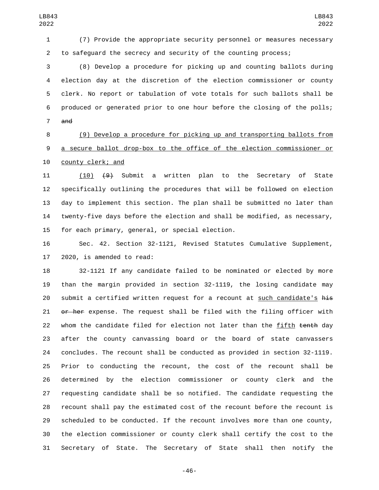(7) Provide the appropriate security personnel or measures necessary to safeguard the secrecy and security of the counting process;

 (8) Develop a procedure for picking up and counting ballots during election day at the discretion of the election commissioner or county clerk. No report or tabulation of vote totals for such ballots shall be produced or generated prior to one hour before the closing of the polls; and

 (9) Develop a procedure for picking up and transporting ballots from a secure ballot drop-box to the office of the election commissioner or 10 county clerk; and

 (10) (9) Submit a written plan to the Secretary of State specifically outlining the procedures that will be followed on election day to implement this section. The plan shall be submitted no later than twenty-five days before the election and shall be modified, as necessary, 15 for each primary, general, or special election.

 Sec. 42. Section 32-1121, Revised Statutes Cumulative Supplement, 17 2020, is amended to read:

 32-1121 If any candidate failed to be nominated or elected by more than the margin provided in section 32-1119, the losing candidate may 20 submit a certified written request for a recount at such candidate's his 21 or her expense. The request shall be filed with the filing officer with 22 whom the candidate filed for election not later than the fifth tenth day after the county canvassing board or the board of state canvassers concludes. The recount shall be conducted as provided in section 32-1119. Prior to conducting the recount, the cost of the recount shall be determined by the election commissioner or county clerk and the requesting candidate shall be so notified. The candidate requesting the recount shall pay the estimated cost of the recount before the recount is scheduled to be conducted. If the recount involves more than one county, the election commissioner or county clerk shall certify the cost to the Secretary of State. The Secretary of State shall then notify the

-46-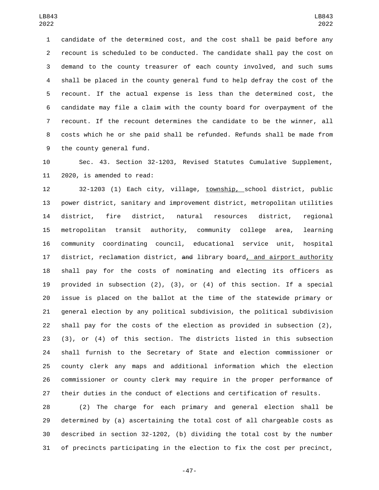candidate of the determined cost, and the cost shall be paid before any recount is scheduled to be conducted. The candidate shall pay the cost on demand to the county treasurer of each county involved, and such sums shall be placed in the county general fund to help defray the cost of the recount. If the actual expense is less than the determined cost, the candidate may file a claim with the county board for overpayment of the recount. If the recount determines the candidate to be the winner, all costs which he or she paid shall be refunded. Refunds shall be made from 9 the county general fund.

 Sec. 43. Section 32-1203, Revised Statutes Cumulative Supplement, 11 2020, is amended to read:

 32-1203 (1) Each city, village, township, school district, public power district, sanitary and improvement district, metropolitan utilities district, fire district, natural resources district, regional metropolitan transit authority, community college area, learning community coordinating council, educational service unit, hospital 17 district, reclamation district, and library board<u>, and airport authority</u> shall pay for the costs of nominating and electing its officers as provided in subsection (2), (3), or (4) of this section. If a special issue is placed on the ballot at the time of the statewide primary or general election by any political subdivision, the political subdivision shall pay for the costs of the election as provided in subsection (2), (3), or (4) of this section. The districts listed in this subsection shall furnish to the Secretary of State and election commissioner or county clerk any maps and additional information which the election commissioner or county clerk may require in the proper performance of their duties in the conduct of elections and certification of results.

 (2) The charge for each primary and general election shall be determined by (a) ascertaining the total cost of all chargeable costs as described in section 32-1202, (b) dividing the total cost by the number of precincts participating in the election to fix the cost per precinct,

-47-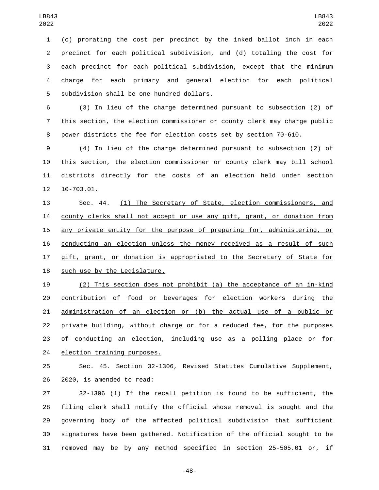(c) prorating the cost per precinct by the inked ballot inch in each precinct for each political subdivision, and (d) totaling the cost for each precinct for each political subdivision, except that the minimum charge for each primary and general election for each political 5 subdivision shall be one hundred dollars.

 (3) In lieu of the charge determined pursuant to subsection (2) of this section, the election commissioner or county clerk may charge public power districts the fee for election costs set by section 70-610.

 (4) In lieu of the charge determined pursuant to subsection (2) of this section, the election commissioner or county clerk may bill school districts directly for the costs of an election held under section 12 10-703.01.

 Sec. 44. (1) The Secretary of State, election commissioners, and county clerks shall not accept or use any gift, grant, or donation from any private entity for the purpose of preparing for, administering, or conducting an election unless the money received as a result of such 17 gift, grant, or donation is appropriated to the Secretary of State for 18 such use by the Legislature.

 (2) This section does not prohibit (a) the acceptance of an in-kind contribution of food or beverages for election workers during the administration of an election or (b) the actual use of a public or private building, without charge or for a reduced fee, for the purposes 23 of conducting an election, including use as a polling place or for 24 election training purposes.

 Sec. 45. Section 32-1306, Revised Statutes Cumulative Supplement, 26 2020, is amended to read:

 32-1306 (1) If the recall petition is found to be sufficient, the filing clerk shall notify the official whose removal is sought and the governing body of the affected political subdivision that sufficient signatures have been gathered. Notification of the official sought to be removed may be by any method specified in section 25-505.01 or, if

-48-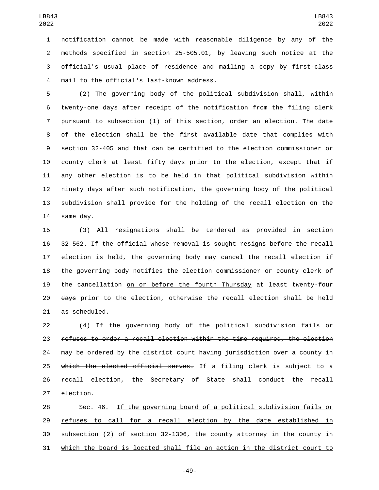notification cannot be made with reasonable diligence by any of the methods specified in section 25-505.01, by leaving such notice at the official's usual place of residence and mailing a copy by first-class 4 mail to the official's last-known address.

 (2) The governing body of the political subdivision shall, within twenty-one days after receipt of the notification from the filing clerk pursuant to subsection (1) of this section, order an election. The date of the election shall be the first available date that complies with section 32-405 and that can be certified to the election commissioner or county clerk at least fifty days prior to the election, except that if any other election is to be held in that political subdivision within ninety days after such notification, the governing body of the political subdivision shall provide for the holding of the recall election on the 14 same day.

 (3) All resignations shall be tendered as provided in section 32-562. If the official whose removal is sought resigns before the recall election is held, the governing body may cancel the recall election if the governing body notifies the election commissioner or county clerk of 19 the cancellation on or before the fourth Thursday at least twenty-four 20 days prior to the election, otherwise the recall election shall be held 21 as scheduled.

 (4) If the governing body of the political subdivision fails or refuses to order a recall election within the time required, the election may be ordered by the district court having jurisdiction over a county in 25 which the elected official serves. If a filing clerk is subject to a recall election, the Secretary of State shall conduct the recall 27 election.

 Sec. 46. If the governing board of a political subdivision fails or 29 refuses to call for a recall election by the date established in subsection (2) of section 32-1306, the county attorney in the county in which the board is located shall file an action in the district court to

-49-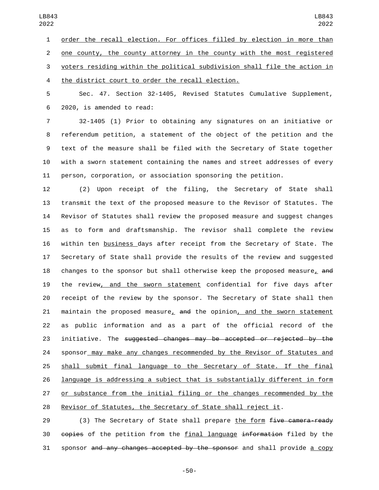1 order the recall election. For offices filled by election in more than one county, the county attorney in the county with the most registered voters residing within the political subdivision shall file the action in

4 the district court to order the recall election.

 Sec. 47. Section 32-1405, Revised Statutes Cumulative Supplement, 2020, is amended to read:6

 32-1405 (1) Prior to obtaining any signatures on an initiative or referendum petition, a statement of the object of the petition and the text of the measure shall be filed with the Secretary of State together with a sworn statement containing the names and street addresses of every person, corporation, or association sponsoring the petition.

 (2) Upon receipt of the filing, the Secretary of State shall transmit the text of the proposed measure to the Revisor of Statutes. The Revisor of Statutes shall review the proposed measure and suggest changes as to form and draftsmanship. The revisor shall complete the review within ten business days after receipt from the Secretary of State. The Secretary of State shall provide the results of the review and suggested 18 changes to the sponsor but shall otherwise keep the proposed measure, and the review, and the sworn statement confidential for five days after receipt of the review by the sponsor. The Secretary of State shall then 21 maintain the proposed measure, and the opinion, and the sworn statement as public information and as a part of the official record of the 23 initiative. The suggested changes may be accepted or rejected by the sponsor may make any changes recommended by the Revisor of Statutes and shall submit final language to the Secretary of State. If the final language is addressing a subject that is substantially different in form or substance from the initial filing or the changes recommended by the Revisor of Statutes, the Secretary of State shall reject it.

29 (3) The Secretary of State shall prepare the form  $f$ ive camera-ready 30 copies of the petition from the final language information filed by the sponsor and any changes accepted by the sponsor and shall provide a copy

-50-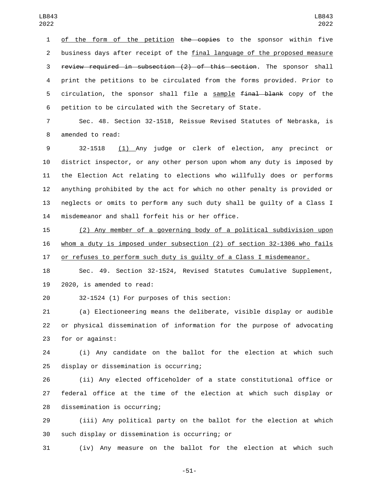1 of the form of the petition the copies to the sponsor within five business days after receipt of the final language of the proposed measure review required in subsection (2) of this section. The sponsor shall print the petitions to be circulated from the forms provided. Prior to 5 circulation, the sponsor shall file a sample final blank copy of the petition to be circulated with the Secretary of State.

 Sec. 48. Section 32-1518, Reissue Revised Statutes of Nebraska, is 8 amended to read:

 32-1518 (1) Any judge or clerk of election, any precinct or district inspector, or any other person upon whom any duty is imposed by the Election Act relating to elections who willfully does or performs anything prohibited by the act for which no other penalty is provided or neglects or omits to perform any such duty shall be guilty of a Class I 14 misdemeanor and shall forfeit his or her office.

 (2) Any member of a governing body of a political subdivision upon whom a duty is imposed under subsection (2) of section 32-1306 who fails or refuses to perform such duty is guilty of a Class I misdemeanor.

 Sec. 49. Section 32-1524, Revised Statutes Cumulative Supplement, 19 2020, is amended to read:

20 32-1524 (1) For purposes of this section:

 (a) Electioneering means the deliberate, visible display or audible or physical dissemination of information for the purpose of advocating 23 for or against:

 (i) Any candidate on the ballot for the election at which such 25 display or dissemination is occurring;

 (ii) Any elected officeholder of a state constitutional office or federal office at the time of the election at which such display or 28 dissemination is occurring;

 (iii) Any political party on the ballot for the election at which such display or dissemination is occurring; or30

(iv) Any measure on the ballot for the election at which such

-51-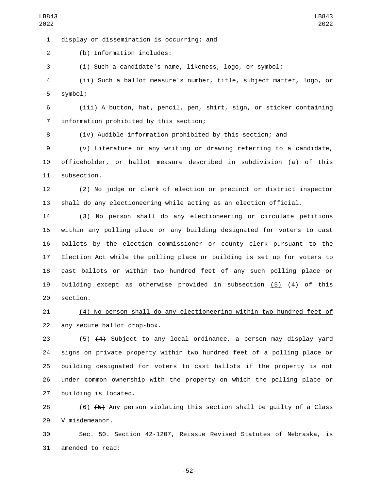display or dissemination is occurring; and1

2 (b) Information includes:

3 (i) Such a candidate's name, likeness, logo, or symbol;

4 (ii) Such a ballot measure's number, title, subject matter, logo, or 5 symbol;

6 (iii) A button, hat, pencil, pen, shirt, sign, or sticker containing information prohibited by this section;7

8 (iv) Audible information prohibited by this section; and

9 (v) Literature or any writing or drawing referring to a candidate, 10 officeholder, or ballot measure described in subdivision (a) of this 11 subsection.

12 (2) No judge or clerk of election or precinct or district inspector 13 shall do any electioneering while acting as an election official.

 (3) No person shall do any electioneering or circulate petitions within any polling place or any building designated for voters to cast ballots by the election commissioner or county clerk pursuant to the Election Act while the polling place or building is set up for voters to cast ballots or within two hundred feet of any such polling place or 19 building except as otherwise provided in subsection  $(5)$   $(4)$  of this 20 section.

21 (4) No person shall do any electioneering within two hundred feet of 22 any secure ballot drop-box.

 (5) (4) Subject to any local ordinance, a person may display yard signs on private property within two hundred feet of a polling place or building designated for voters to cast ballots if the property is not under common ownership with the property on which the polling place or 27 building is located.

28 (6)  $\left(6\right)$  (5) Any person violating this section shall be quilty of a Class 29 V misdemeanor.

30 Sec. 50. Section 42-1207, Reissue Revised Statutes of Nebraska, is 31 amended to read:

-52-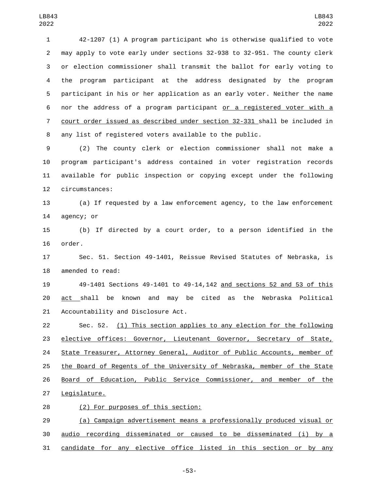42-1207 (1) A program participant who is otherwise qualified to vote may apply to vote early under sections 32-938 to 32-951. The county clerk or election commissioner shall transmit the ballot for early voting to the program participant at the address designated by the program participant in his or her application as an early voter. Neither the name nor the address of a program participant or a registered voter with a court order issued as described under section 32-331 shall be included in any list of registered voters available to the public.

 (2) The county clerk or election commissioner shall not make a program participant's address contained in voter registration records available for public inspection or copying except under the following 12 circumstances:

 (a) If requested by a law enforcement agency, to the law enforcement 14 agency; or

 (b) If directed by a court order, to a person identified in the 16 order.

 Sec. 51. Section 49-1401, Reissue Revised Statutes of Nebraska, is 18 amended to read:

 49-1401 Sections 49-1401 to 49-14,142 and sections 52 and 53 of this act shall be known and may be cited as the Nebraska Political 21 Accountability and Disclosure Act.

 Sec. 52. (1) This section applies to any election for the following elective offices: Governor, Lieutenant Governor, Secretary of State, 24 State Treasurer, Attorney General, Auditor of Public Accounts, member of the Board of Regents of the University of Nebraska, member of the State Board of Education, Public Service Commissioner, and member of the 27 Legislature.

(2) For purposes of this section:28

 (a) Campaign advertisement means a professionally produced visual or audio recording disseminated or caused to be disseminated (i) by a candidate for any elective office listed in this section or by any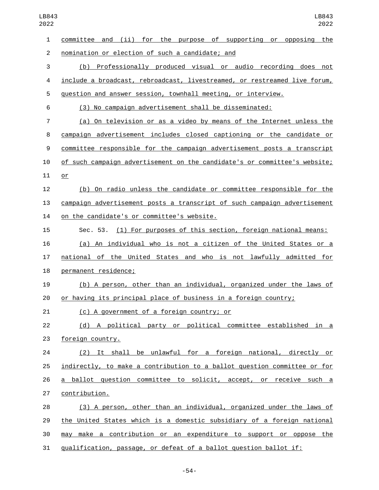committee and (ii) for the purpose of supporting or opposing the nomination or election of such a candidate; and2 (b) Professionally produced visual or audio recording does not include a broadcast, rebroadcast, livestreamed, or restreamed live forum, question and answer session, townhall meeting, or interview. (3) No campaign advertisement shall be disseminated: (a) On television or as a video by means of the Internet unless the campaign advertisement includes closed captioning or the candidate or committee responsible for the campaign advertisement posts a transcript of such campaign advertisement on the candidate's or committee's website; 11 or (b) On radio unless the candidate or committee responsible for the campaign advertisement posts a transcript of such campaign advertisement 14 on the candidate's or committee's website. Sec. 53. (1) For purposes of this section, foreign national means: (a) An individual who is not a citizen of the United States or a national of the United States and who is not lawfully admitted for 18 permanent residence; (b) A person, other than an individual, organized under the laws of or having its principal place of business in a foreign country; 21 (c) A government of a foreign country; or (d) A political party or political committee established in a 23 foreign country. (2) It shall be unlawful for a foreign national, directly or indirectly, to make a contribution to a ballot question committee or for a ballot question committee to solicit, accept, or receive such a 27 contribution. (3) A person, other than an individual, organized under the laws of the United States which is a domestic subsidiary of a foreign national may make a contribution or an expenditure to support or oppose the

qualification, passage, or defeat of a ballot question ballot if:

-54-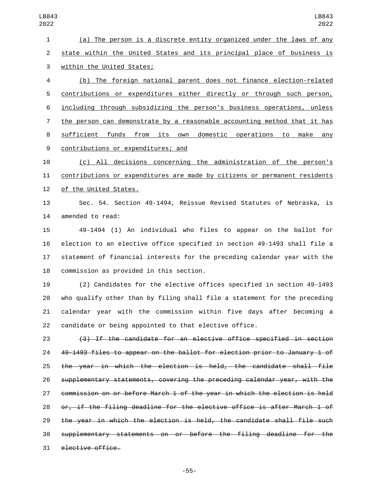(a) The person is a discrete entity organized under the laws of any state within the United States and its principal place of business is 3 within the United States;

 (b) The foreign national parent does not finance election-related contributions or expenditures either directly or through such person, including through subsidizing the person's business operations, unless the person can demonstrate by a reasonable accounting method that it has sufficient funds from its own domestic operations to make any 9 contributions or expenditures; and

 (c) All decisions concerning the administration of the person's contributions or expenditures are made by citizens or permanent residents 12 of the United States.

 Sec. 54. Section 49-1494, Reissue Revised Statutes of Nebraska, is 14 amended to read:

 49-1494 (1) An individual who files to appear on the ballot for election to an elective office specified in section 49-1493 shall file a statement of financial interests for the preceding calendar year with the 18 commission as provided in this section.

 (2) Candidates for the elective offices specified in section 49-1493 who qualify other than by filing shall file a statement for the preceding calendar year with the commission within five days after becoming a candidate or being appointed to that elective office.

 (3) If the candidate for an elective office specified in section 49-1493 files to appear on the ballot for election prior to January 1 of the year in which the election is held, the candidate shall file supplementary statements, covering the preceding calendar year, with the commission on or before March 1 of the year in which the election is held or, if the filing deadline for the elective office is after March 1 of the year in which the election is held, the candidate shall file such supplementary statements on or before the filing deadline for the 31 elective office.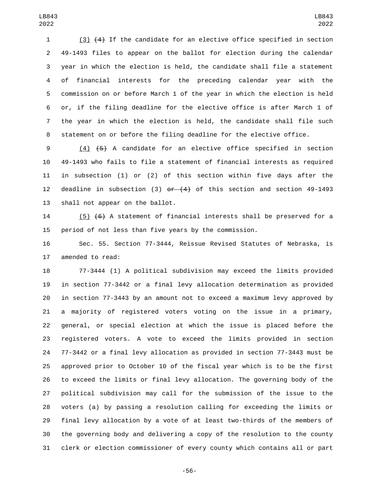(3) (4) If the candidate for an elective office specified in section 49-1493 files to appear on the ballot for election during the calendar year in which the election is held, the candidate shall file a statement of financial interests for the preceding calendar year with the commission on or before March 1 of the year in which the election is held or, if the filing deadline for the elective office is after March 1 of the year in which the election is held, the candidate shall file such statement on or before the filing deadline for the elective office.

 (4) (5) A candidate for an elective office specified in section 49-1493 who fails to file a statement of financial interests as required in subsection (1) or (2) of this section within five days after the 12 deadline in subsection (3)  $er$   $(4)$  of this section and section 49-1493 13 shall not appear on the ballot.

 (5) (6) A statement of financial interests shall be preserved for a period of not less than five years by the commission.

 Sec. 55. Section 77-3444, Reissue Revised Statutes of Nebraska, is 17 amended to read:

 77-3444 (1) A political subdivision may exceed the limits provided in section 77-3442 or a final levy allocation determination as provided in section 77-3443 by an amount not to exceed a maximum levy approved by a majority of registered voters voting on the issue in a primary, general, or special election at which the issue is placed before the registered voters. A vote to exceed the limits provided in section 77-3442 or a final levy allocation as provided in section 77-3443 must be approved prior to October 10 of the fiscal year which is to be the first to exceed the limits or final levy allocation. The governing body of the political subdivision may call for the submission of the issue to the voters (a) by passing a resolution calling for exceeding the limits or final levy allocation by a vote of at least two-thirds of the members of the governing body and delivering a copy of the resolution to the county clerk or election commissioner of every county which contains all or part

-56-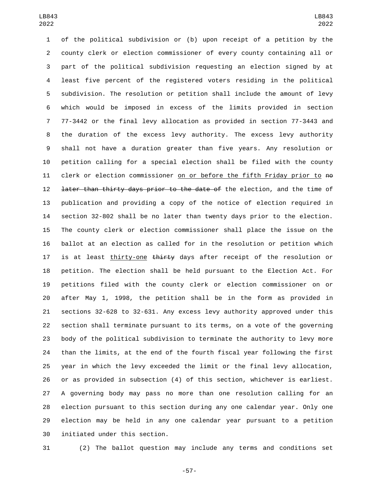of the political subdivision or (b) upon receipt of a petition by the county clerk or election commissioner of every county containing all or part of the political subdivision requesting an election signed by at least five percent of the registered voters residing in the political subdivision. The resolution or petition shall include the amount of levy which would be imposed in excess of the limits provided in section 77-3442 or the final levy allocation as provided in section 77-3443 and the duration of the excess levy authority. The excess levy authority shall not have a duration greater than five years. Any resolution or petition calling for a special election shall be filed with the county 11 clerk or election commissioner on or before the fifth Friday prior to no 12 <del>later than thirty days prior to the date of</del> the election, and the time of publication and providing a copy of the notice of election required in section 32-802 shall be no later than twenty days prior to the election. The county clerk or election commissioner shall place the issue on the ballot at an election as called for in the resolution or petition which 17 is at least thirty-one thirty days after receipt of the resolution or petition. The election shall be held pursuant to the Election Act. For petitions filed with the county clerk or election commissioner on or after May 1, 1998, the petition shall be in the form as provided in sections 32-628 to 32-631. Any excess levy authority approved under this section shall terminate pursuant to its terms, on a vote of the governing body of the political subdivision to terminate the authority to levy more than the limits, at the end of the fourth fiscal year following the first year in which the levy exceeded the limit or the final levy allocation, or as provided in subsection (4) of this section, whichever is earliest. A governing body may pass no more than one resolution calling for an election pursuant to this section during any one calendar year. Only one election may be held in any one calendar year pursuant to a petition 30 initiated under this section.

(2) The ballot question may include any terms and conditions set

-57-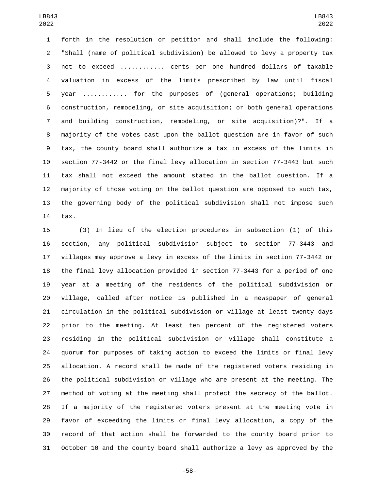forth in the resolution or petition and shall include the following: "Shall (name of political subdivision) be allowed to levy a property tax not to exceed ............ cents per one hundred dollars of taxable valuation in excess of the limits prescribed by law until fiscal year ............ for the purposes of (general operations; building construction, remodeling, or site acquisition; or both general operations and building construction, remodeling, or site acquisition)?". If a majority of the votes cast upon the ballot question are in favor of such tax, the county board shall authorize a tax in excess of the limits in section 77-3442 or the final levy allocation in section 77-3443 but such tax shall not exceed the amount stated in the ballot question. If a majority of those voting on the ballot question are opposed to such tax, the governing body of the political subdivision shall not impose such 14 tax.

 (3) In lieu of the election procedures in subsection (1) of this section, any political subdivision subject to section 77-3443 and villages may approve a levy in excess of the limits in section 77-3442 or the final levy allocation provided in section 77-3443 for a period of one year at a meeting of the residents of the political subdivision or village, called after notice is published in a newspaper of general circulation in the political subdivision or village at least twenty days prior to the meeting. At least ten percent of the registered voters residing in the political subdivision or village shall constitute a quorum for purposes of taking action to exceed the limits or final levy allocation. A record shall be made of the registered voters residing in the political subdivision or village who are present at the meeting. The method of voting at the meeting shall protect the secrecy of the ballot. If a majority of the registered voters present at the meeting vote in favor of exceeding the limits or final levy allocation, a copy of the record of that action shall be forwarded to the county board prior to October 10 and the county board shall authorize a levy as approved by the

-58-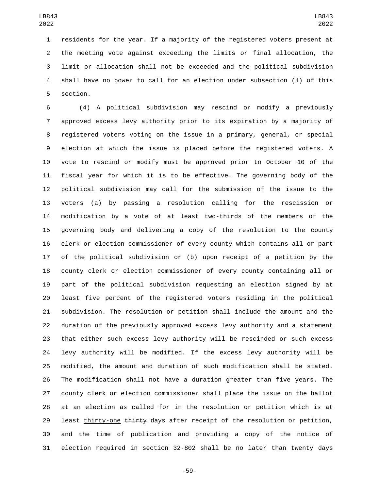residents for the year. If a majority of the registered voters present at the meeting vote against exceeding the limits or final allocation, the limit or allocation shall not be exceeded and the political subdivision shall have no power to call for an election under subsection (1) of this 5 section.

 (4) A political subdivision may rescind or modify a previously approved excess levy authority prior to its expiration by a majority of registered voters voting on the issue in a primary, general, or special election at which the issue is placed before the registered voters. A vote to rescind or modify must be approved prior to October 10 of the fiscal year for which it is to be effective. The governing body of the political subdivision may call for the submission of the issue to the voters (a) by passing a resolution calling for the rescission or modification by a vote of at least two-thirds of the members of the governing body and delivering a copy of the resolution to the county clerk or election commissioner of every county which contains all or part of the political subdivision or (b) upon receipt of a petition by the county clerk or election commissioner of every county containing all or part of the political subdivision requesting an election signed by at least five percent of the registered voters residing in the political subdivision. The resolution or petition shall include the amount and the duration of the previously approved excess levy authority and a statement that either such excess levy authority will be rescinded or such excess levy authority will be modified. If the excess levy authority will be modified, the amount and duration of such modification shall be stated. The modification shall not have a duration greater than five years. The county clerk or election commissioner shall place the issue on the ballot at an election as called for in the resolution or petition which is at 29 least thirty-one thirty days after receipt of the resolution or petition, and the time of publication and providing a copy of the notice of election required in section 32-802 shall be no later than twenty days

-59-